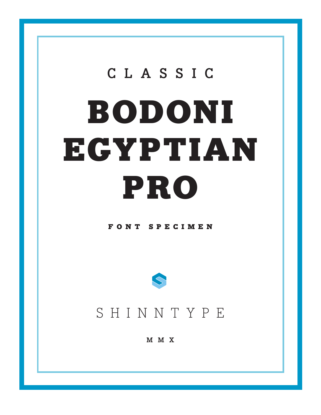# CLASSIC BODONI ECYPTIAN PRO

# FONT SPECIMEN



# SHINNTYPE

M M X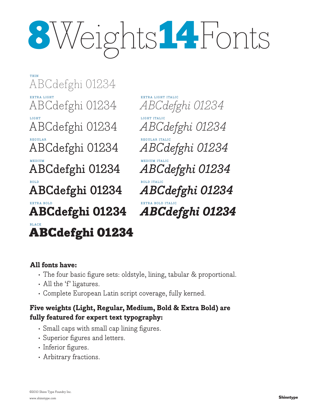# 8Weights14Fonts

THIN ABCdefghi 01234 EXTRA LIGHT ABCdefghi 01234 light ABCdefghi 01234 **REGULAI** ABCdefghi 01234 **MEDIUM** ABCdefghi 01234 bold **ABCdefghi 01234** extra bold **ABCdefghi 01234** black ABCdefghi 01234

extra light italic *ABCdefghi 01234* light italic *ABCdefghi 01234* REGULAR ITA *ABCdefghi 01234* medium italic *ABCdefghi 01234* bold italic *ABCdefghi 01234* extra bold italic *ABCdefghi 01234*

# **All fonts have:**

- The four basic figure sets: oldstyle, lining, tabular & proportional.
- All the 'f' ligatures.
- Complete European Latin script coverage, fully kerned.

# **Five weights (Light, Regular, Medium, Bold & Extra Bold) are fully featured for expert text typography:**

- Small caps with small cap lining figures.
- Superior figures and letters.
- Inferior figures.
- Arbitrary fractions.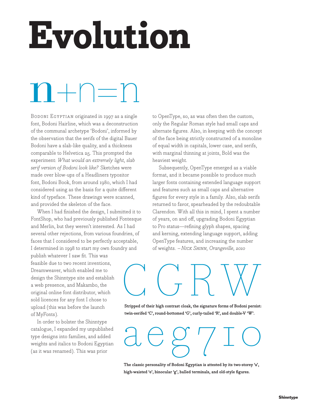# **Evolution**

# $n+1=r$

BODONI EGYPTIAN originated in 1997 as a single font, Bodoni Hairline, which was a deconstruction of the communal archetype 'Bodoni', informed by the observation that the serifs of the digital Bauer Bodoni have a slab-like quality, and a thickness comparable to Helvetica 25. This prompted the experiment: *What would an extremely light, slab serif version of Bodoni look like?* Sketches were made over blow-ups of a Headliners typositor font, Bodoni Book, from around 1980, which I had considered using as the basis for a quite different kind of typeface. These drawings were scanned, and provided the skeleton of the face.

When I had finished the design, I submitted it to FontShop, who had previously published Fontesque and Merlin, but they weren't interested. As I had several other rejections, from various foundries, of faces that I considered to be perfectly acceptable, I determined in 1998 to start my own foundry and

publish whatever I saw fit. This was feasible due to two recent inventions, Dreamweaver, which enabled me to design the Shinntype site and establish a web presence, and Makambo, the original online font distributor, which sold licences for any font I chose to upload (this was before the launch of MyFonts).

In order to bolster the Shinntype catalogue, I expanded my unpublished type designs into families, and added weights and italics to Bodoni Egyptian (as it was renamed). This was prior

to OpenType, so, as was often then the custom, only the Regular Roman style had small caps and alternate figures. Also, in keeping with the concept of the face being strictly constructed of a monoline of equal width in capitals, lower case, and serifs, with marginal thinning at joints, Bold was the heaviest weight.

Subsequently, OpenType emerged as a viable format, and it became possible to produce much larger fonts containing extended language support and features such as small caps and alternative figures for every style in a family. Also, slab serifs returned to favor, spearheaded by the redoubtable Clarendon. With all this in mind, I spent a number of years, on and off, upgrading Bodoni Egyptian to Pro status—refining glyph shapes, spacing and kerning, extending language support, adding OpenType features, and increasing the number of weights. – *Nick Shinn, Orangeville, 2010*

# C G RW

**Stripped of their high contrast cloak, the signature forms of Bodoni persist: twin-serifed 'C', round-bottomed 'G', curly-tailed 'R', and double-V 'W'.**

twin-serifed 'C', round-bottomed 'G', curly-tailed 'R', and double-V 'W'.

**The classic personality of Bodoni Egyptian is attested by its two-storey 'a', high-waisted 'e', binocular 'g', balled terminals, and old-style figures.**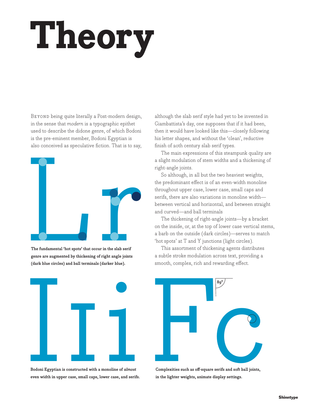# **Theory**

BEYOND being quite literally a Post-modern design, in the sense that *modern* is a typographic epithet used to describe the didone genre, of which Bodoni is the pre-eminent member, Bodoni Egyptian is also conceived as speculative fiction. That is to say,



**The fundamental 'hot spots' that occur in the slab serif genre are augmented by thickening of right angle joints (dark blue circles) and ball terminals (darker blue).**



**Bodoni Egyptian is constructed with a monoline of**  *almost* **even width in upper case, small caps, lower case, and serifs.**

although the slab serif style had yet to be invented in Giambattista's day, one supposes that if it had been, then it would have looked like this—closely following his letter shapes, and without the 'clean', reductive finish of 20th century slab serif types.

The main expressions of this steampunk quality are a slight modulation of stem widths and a thickening of right-angle joints.

So although, in all but the two heaviest weights, the predominant effect is of an even-width monoline throughout upper case, lower case, small caps and serifs, there are also variations in monoline width between vertical and horizontal, and between straight and curved—and ball terminals

The thickening of right-angle joints—by a bracket on the inside, or, at the top of lower case vertical stems, a barb on the outside (dark circles)—serves to match 'hot spots' at T and Y junctions (light circles).

This assortment of thickening agents distributes a subtle stroke modulation across text, providing a smooth, complex, rich and rewarding effect.



**Complexities such as off-square serifs and soft ball joints, in the lighter weights, animate display settings.**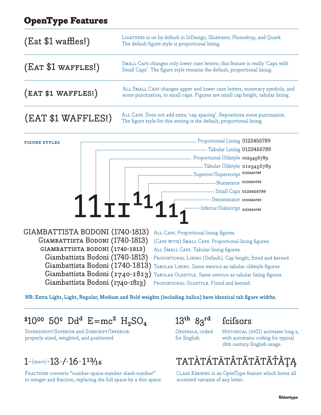# OpenType Features

| $($ Eat \$1 waffles! $)$ | LIGATURES is on by default in InDesign, Illustrator, Photoshop, and Quark.<br>The default figure style is proportional lining.                               |
|--------------------------|--------------------------------------------------------------------------------------------------------------------------------------------------------------|
| (EAT \$1 WAFFLES!)       | SMALL CAPS changes only lower case letters; this feature is really 'Caps with<br>Small Caps'. The figure style remains the default, proportional lining.     |
| (EAT \$1 WAFFLES!)       | ALL SMALL CAPS changes upper and lower case letters, monetary symbols, and<br>some punctuation, to small caps. Figures are small cap height, tabular lining. |
| (EAT \$1 WAFFLES!)       | ALL CAPS. Does not add extra 'cap spacing'. Repositions some punctuation.<br>The figure style for this setting is the default, proportional lining.          |

 $11$  $11$ <sup> $11$ </sup> $11$ <sub>1</sub> GIAMBATTISTA BODONI (1740-1813) Giambattista Bodoni (1740-1813) giambattista bodoni (1740-1813) All Caps. Proportional lining figures. (Caps with) Small Caps. Proportional lining figures. All Small Caps. Tabular lining figures. Proportional Lining 0123456789 Tabular Lining 0123456789 Proportional Oldstyle 0123456789 Tabular Oldstyle 0123456789 Superior/Superscript 0123456789 Numerator 0123456789 Small Caps 0123456789 Denominator 0123456789 Inferior/Subscript 0123456789 **figure styles**

 Giambattista Bodoni (1740-1813)  $\rm{Giambattista}$   $\rm{Bodoni}$   $(1740\text{-}1813)$  Tabular Lining. Same metrics as tabular oldstyle figures.  $\rm{Giam}$ battista Bodoni (1740-1813) TABULAR OLDSTYLE. Same metrics as tabular lining figures. Giambattista Bodoni (1740-1813)

PROPORTIONAL LINING (Default). Cap height, fitted and kerned. PROPORTIONAL OLDSTYLE. Fitted and kerned.

**NB: Extra Light, Light, Regular, Medium and Bold weights (including italics) have identical tab figure widths.**

# $$10^{00}$  50° Dd<sup>d</sup> E=mc<sup>2</sup> H<sub>2</sub>SO<sub>4</sub> 13<sup>th</sup> 83<sup>rd</sup> feifsors

Superscript/Superior and Subscript/Inferior: properly sized, weighted, and positioned.

# $1+$ [space]+ $13+$ /+ $16=113/16$

FRACTIONS converts "number-space-number-slash-number" to integer and fraction, replacing the full space by a thin space.

ORDINALS, coded for English.

HISTORICAL (SSO1) activates long s, with automatic coding for typical 18th century English usage.



Class Kerning is an OpenType feature which kerns all accented variants of any letter.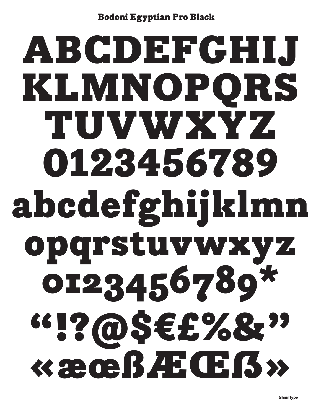# **ABCDEFGHIJ** KLMNOPORS TUVWXYZ 0123456789 abcdefghijklmn opqrstuvwxyz 0123456789\* <sup>66</sup>1?@\$€£%&?? « æ oe BAE Œ B »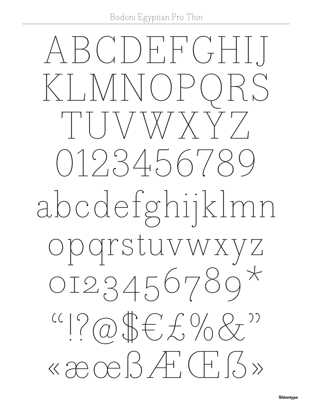Bodoni Egyptian Pro Thin

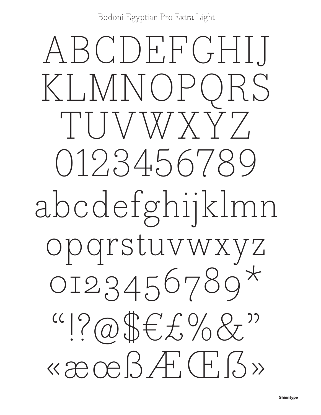Bodoni Egyptian Pro Extra Light

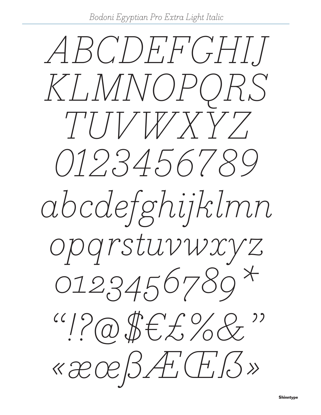Bodoni Egyptian Pro Extra Light Italic

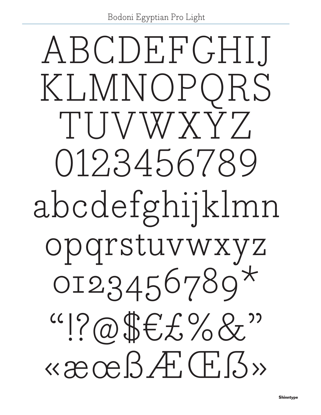Bodoni Egyptian Pro Light

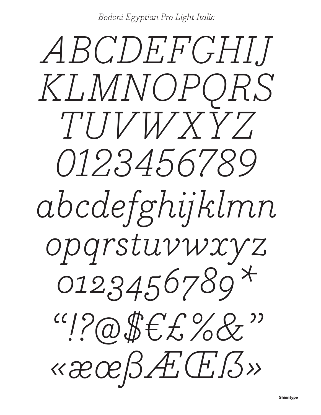Bodoni Egyptian Pro Light Italic

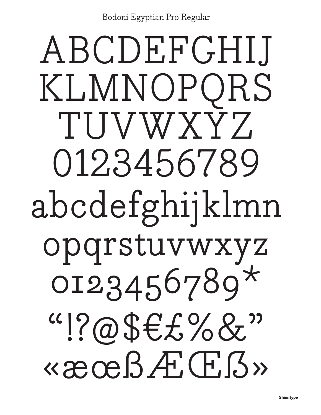# ABCDEFGHIJ KLMNOPQRS TUVWXYZ 0123456789 abcdefghijklmn opqrstuvwxyz  $0123456789*$  $``!?\@$Ef\%8"$ «æœBƌ߻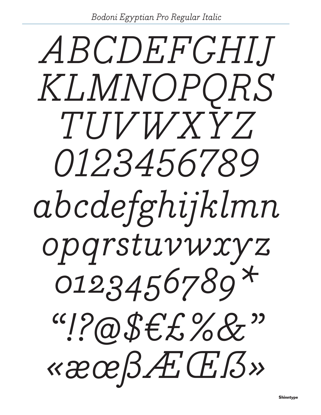Bodoni Egyptian Pro Regular Italic

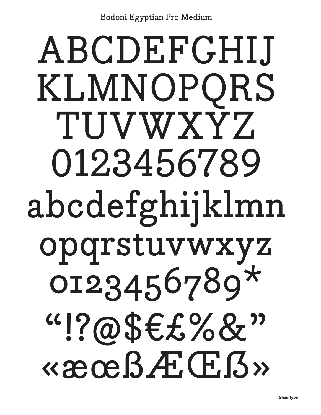# ABCDEFGHIJ KLMNOPQRS TUVWXYZ 0123456789 abcdefghijklmn opqrstuvwxyz 0I23456789\*  $``!?@$$$E$%&$""$ Ǿϧƌ߻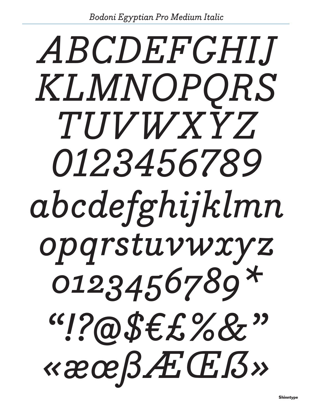# ABCDEFGHIJ KLMNOPQRS TUVWXYZ 0123456789 abcdefghijklmn opgrstuvwxyz 0123456789\*  $``!?@$$E$%&"$ Ǿϧƌ߻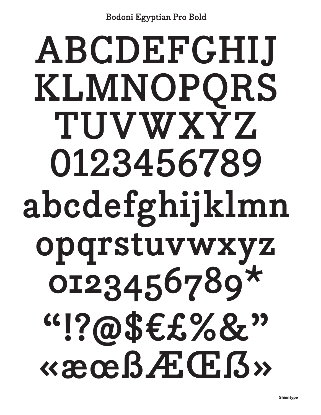# ABCDEFGHIJ KLMNOPQRS TUVWXYZ 0123456789 abcdefghijklmn opqrstuvwxyz OI23456789\*  $``!?@$$E$%&"$ Ǿϧƌ߻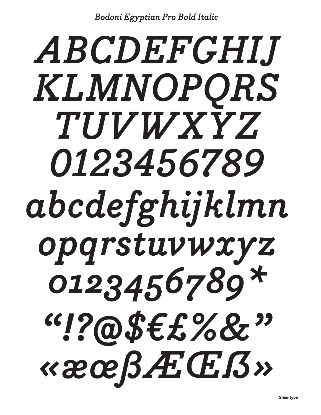# ABCDEFGHIJ KLMNOPORS TUVWXYZ 0123456789 abcdefghijklmn opqrstuvwxyz 0123456789\* Ǿϧƌ߻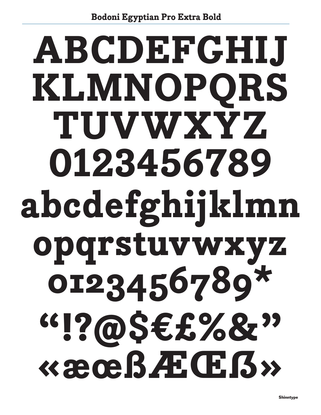# **ABCDEFGHIJ** KLMNOPQRS TUVWXYZ 0123456789 abcdefghijklmn opqrstuvwxyz 0123456789\*  $``!?@$E282"$ Ǿϧƌ߻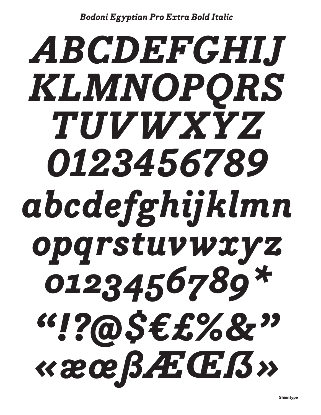# ABCDEFGHIJ KLMNOPORS TUVWXYZ 0123456789 abcdefghijklmn opqrstuvwxyz 0123456789\* « æ œ ߯ Œ ß »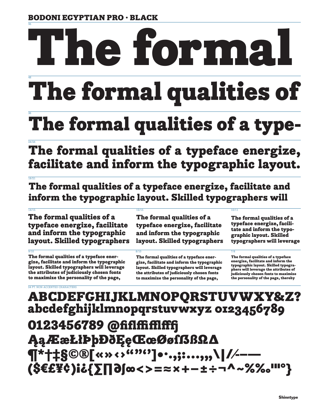# BODONI EGYPTIAN PRO · BLACK

# 96 48 e forn

# The formal qualities of

# 36 The formal qualities of a type-

24/26 The formal qualities of a typeface energize, facilitate and inform the typographic layout.

18/21

The formal qualities of a typeface energize, facilitate and inform the typographic layout. Skilled typographers will

 $14/15$  12/15 12/15 12/16 12/17 12/18 12/18 12/18 12/18 12/18 12/18 12/18 12/18 12/18 The formal qualities of a typeface energize, facilitate and inform the typographic layout. Skilled typographers

9/10 8/10 7/8 The formal qualities of a typeface energize, facilitate and inform the typographic layout. Skilled typographers will leverage the attributes of judiciously chosen fonts to maximize the personality of the page,

The formal qualities of a typeface energize, facilitate and inform the typographic layout. Skilled typographers

The formal qualities of a typeface energize, facilitate and inform the typographic layout. Skilled typographers will leverage the attributes of judiciously chosen fonts to maximize the personality of the page,

The formal qualities of a typeface energize, facilitate and inform the typographic layout. Skilled typographers will leverage

The formal qualities of a typeface energize, facilitate and inform the typographic layout. Skilled typographers will leverage the attributes of judiciously chosen fonts to maximize the personality of the page, thereby

# 24 PT. NON-ACCENTED CHARACTERS ABCDEFGHIJKLMNOPQRSTUVWXY&Z? abcdefghijklmnopqrstuvwxyz 0123456789 0123456789 @fiflffifflff� ĄąÆæŁłÞþÐðĘęŒœØøſẞßΩ∆ ¶\*†‡§©®[«»‹›""'']•·.,;:...,,,\|/⁄-–– (\$€£¥¢)!?{∑∏∂∫∞<>=≈×+−±÷¬^~%‰'"°}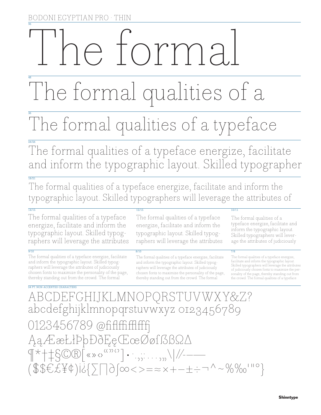# 96 e forma

# 48 The formal qualities of a

# The formal qualities of a typeface

24/26 The formal qualities of a typeface energize, facilitate and inform the typographic layout. Skilled typographer

18/21 The formal qualities of a typeface energize, facilitate and inform the typographic layout. Skilled typographers will leverage the attributes of

The formal qualities of a typeface energize, facilitate and inform the typographic layout. Skilled typographers will leverage the attributes

9/10 8/10 7/8 The formal qualities of a typeface energize, facilitate and inform the typographic layout. Skilled typographers will leverage the attributes of judiciously chosen fonts to maximize the personality of the page, thereby standing out from the crowd. The formal

The formal qualities of a typeface energize, facilitate and inform the typographic layout. Skilled typographers will leverage the attributes

The formal qualities of a typeface energize, facilitate and inform the typographic layout. Skilled typographers will leverage the attributes of judiciously chosen fonts to maximize the personality of the page, thereby standing out from the crowd. The formal

# $14/15$  12/15 12/15 12/16 12/17 12/18 12/18 12/18 12/18 12/18 12/18 12/18 12/18 12/18

The formal qualities of a typeface energize, facilitate and inform the typographic layout. Skilled typographers will leverage the attributes of judiciously

The formal qualities of a typeface energize, facilitate and inform the typographic layout. Skilled typographers will leverage the attributes of judiciously chosen fonts to maximize the personality of the page, thereby standing out from the crowd. The formal qualities of a typeface

24 PT. NON-ACCENTED CHARACTERS ABCDEFGHIJKLMNOPQRSTUVWXY&Z? abcdefghijklmnopqrstuvwxyz 0123456789 0123456789 @fiflffifffff ĄąÆæŁłÞþÐðĘęŒœØøſẞßΩ∆ ¶\*†‡§©®[«»‹›""'']•·.,;:…'"\|/⁄-–— (\$\$€£¥¢)!?{∑∏∂∫∞<>=≈×+−±÷¬^~%‰'"°}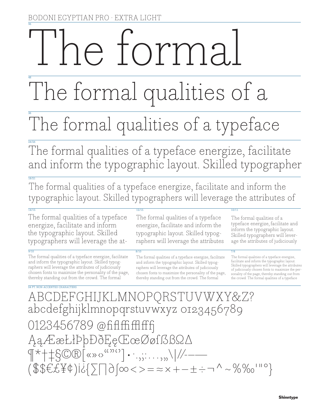# 96 e torma

# 48 The formal qualities of a

# 36 The formal qualities of a typeface

24/26 The formal qualities of a typeface energize, facilitate and inform the typographic layout. Skilled typographer

18/21 The formal qualities of a typeface energize, facilitate and inform the typographic layout. Skilled typographers will leverage the attributes of

 $14/15$  12/15 12/15 12/16 12/17 12/18 12/18 12/18 12/18 12/18 12/18 12/18 12/18 12/18 The formal qualities of a typeface energize, facilitate and inform the typographic layout. Skilled typographers will leverage the at-

9/10 8/10 7/8 The formal qualities of a typeface energize, facilitate and inform the typographic layout. Skilled typographers will leverage the attributes of judiciously chosen fonts to maximize the personality of the page, thereby standing out from the crowd. The formal

The formal qualities of a typeface energize, facilitate and inform the typographic layout. Skilled typographers will leverage the attributes

The formal qualities of a typeface energize, facilitate and inform the typographic layout. Skilled typographers will leverage the attributes of judiciously chosen fonts to maximize the personality of the page, thereby standing out from the crowd. The formal

The formal qualities of a typeface energize, facilitate and inform the typographic layout. Skilled typographers will leverage the attributes of judiciously

The formal qualities of a typeface energize, facilitate and inform the typographic layout. Skilled typographers will leverage the attributes of judiciously chosen fonts to maximize the personality of the page, thereby standing out from the crowd. The formal qualities of a typeface

24 PT. NON-ACCENTED CHARACTERS ABCDEFGHIJKLMNOPQRSTUVWXY&Z? abcdefghijklmnopqrstuvwxyz 0123456789 0123456789 @fififfiffffff ĄąÆæŁłÞþÐðĘęŒœØøſẞßΩ∆  $\P^{\star}$   $\uparrow$   $\downarrow$   $\mathcal{S}$   $\mathbb{R}$   $\left[\text{max} \right]$   $\cdots$ ,,, $\cdots$ ,,, $\setminus$   $\mid$   $\nmid$   $\mid$   $\mid$   $\mid$   $\mid$   $\mid$ (\$\$€£¥¢)!?{∑∏∂∫∞<>=≈×+−±÷¬^~%‰'"°}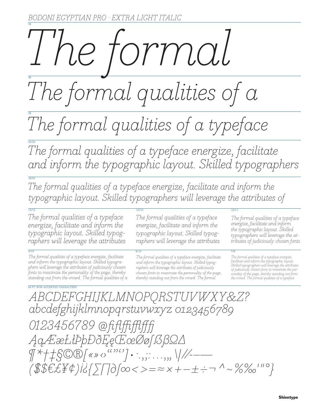# 96 48 *The formal*

*The formal qualities of a* 

36 *The formal qualities of a typeface*

24/26 *The formal qualities of a typeface energize, facilitate .and inform the typographic layout. Skilled typographers* 

18/21 *The formal qualities of a typeface energize, facilitate and inform the .typographic layout. Skilled typographers will leverage the attributes of* 

 $14/15$  12/15 12/15 12/16 12/17 12/18 12/18 12/18 12/18 12/18 12/18 12/18 12/18 12/18 *The formal qualities of a typeface · energize, facilitate and inform the typographic layout. Skilled typographers will leverage the attributes* 

9/10 8/10 7/8 *The formal qualities of a typeface energize, facilitate and inform the typographic layout. Skilled typographers will leverage the attributes of judiciously chosen fonts to maximize the personality of the page, thereby standing out from the crowd. The formal qualities of a* 

*The formal qualities of a typeface · energize, facilitate and inform the typographic layout. Skilled typographers will leverage the attributes* 

*The formal qualities of a typeface energize, facilitate and inform the typographic layout. Skilled typographers will leverage the attributes of judiciously chosen fonts to maximize the personality of the page, thereby standing out from the crowd. The formal* 

*The formal qualities of a typeface energize, facilitate and inform the typographic layout. Skilled typographers will leverage the attributes of judiciously chosen fonts* 

*The formal qualities of a typeface energize, facilitate and inform the typographic layout. Skilled typographers will leverage the attributes of judiciously chosen fonts to maximize the personality of the page, thereby standing out from the crowd. The formal qualities of a typeface* 

24 PT. NON-ACCENTED CHARACTERS *ABCDEFGHIJKLMNOPQRSTUVWXY&Z? abcdefghijklmnopqrstuvwxyz 0123456789 0123456789 @ fi fl ffi fflff� ĄąÆæŁłÞþÐðĘęŒœØøſẞßΩ∆ ¶\*†‡§©®[«»‹›""'']•·.,;:…'"\|/⁄-–— (\$\$€£¥¢)!?{∑∏∂∫∞<>=≈×+−±÷¬^~%‰'"°}*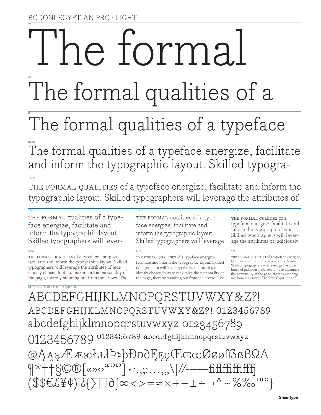# 96 ie forma

# 48 The formal qualities of a

# 36 The formal qualities of a typeface

24/26 The formal qualities of a typeface energize, facilitate and inform the typographic layout. Skilled typogra-

THE FORMAL QUALITIES of a typeface energize, facilitate and inform the typographic layout. Skilled typographers will leverage the attributes of

 $18/21$ 

THE FORMAL qualities of a typeface energize, facilitate and inform the typographic layout. Skilled typographers will lever-

9/10 8/10 7/8 THE FORMAL QUALITIES of a typeface energize, facilitate and inform the typographic layout. Skilled typographers will leverage the attributes of judiciously chosen fonts to maximize the personality of the page, thereby standing out from the crowd. The

THE FORMAL qualities of a typeface energize, facilitate and inform the typographic layout. Skilled typographers will leverage

THE FORMAL QUALITIES of a typeface energize, facilitate and inform the typographic layout. Skilled typographers will leverage the attributes of judiciously chosen fonts to maximize the personality of the page, thereby standing out from the crowd. The

# $14/15$  12/15 12/15 12/16 12/17 12/18 12/18 12/18 12/18 12/18 12/18 12/18 12/18 12/18

THE FORMAL qualities of a typeface energize, facilitate and inform the typographic layout. Skilled typographers will leverage the attributes of judiciously

THE FORMAL QUALITIES of a typeface energize, facilitate and inform the typographic layout. Skilled typographers will leverage the attributes of judiciously chosen fonts to maximize the personality of the page, thereby standing out from the crowd. The formal qualities of

24 PT. NON-ACCENTED CHARACTERS ABCDEFGHIJKLMNOPQRSTUVWXY&Z?! abcdefghijklmnopqrstuvwxy&z?! 0123456789 abcdefghijklmnopqrstuvwxyz 0123456789 0123456789 0123456789 abcdefghijklmnopqrstuvwxyz @ĄąąÆææŁłłÞþþÐððĘęęŒœœØøøſẞẞßΩ∆ ¶\*†‡§©®[«»‹›""'']•·.,;:…'"\|/⁄-–—fiflffifflff� (\$\$€£¥¢)!?{∑∏∂∫∞<>=≈×+−±÷¬^~%‰'"°}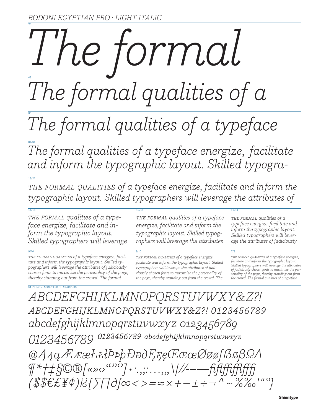# 96 48 *The formal*

*The formal qualities of a* 

# 36 *The formal qualities of a typeface*

24/26 The formal qualities of a typeface energize, facilitate *and inform the typographic layout. Skilled typogra-*

18/21 THE FORMAL QUALITIES of a typeface energize, facilitate and inform the *typographic layout. Skilled typographers will leverage the attributes of*

 $14/15$  12/15 12/15 12/16 12/17 12/18 12/18 12/18 12/18 12/18 12/18 12/18 12/18 12/18

*the formal qualities of a typeface energize, facilitate and inform the typographic layout. Skilled typographers will leverage* 

9/10 8/10 7/8 *the formal qualities of a typeface energize, facilitate and inform the typographic layout. Skilled typographers will leverage the attributes of judiciously chosen fonts to maximize the personality of the page, thereby standing out from the crowd. The formal* 

*the formal qualities of a typeface energize, facilitate and inform the typographic layout. Skilled typographers will leverage the attributes* 

*the formal qualities of a typeface energize, facilitate and inform the typographic layout. Skilled typographers will leverage the attributes of judiciously chosen fonts to maximize the personality of the page, thereby standing out from the crowd. The* 

*the formal qualities of a typeface energize, facilitate and inform the typographic layout. Skilled typographers will leverage the attributes of judiciously* 

*the formal qualities of a typeface energize, facilitate and inform the typographic layout. Skilled typographers will leverage the attributes of judiciously chosen fonts to maximize the personality of the page, thereby standing out from the crowd. The formal qualities of a typeface* 

24 PT. NON-ACCENTED CHARACTERS *ABCDEFGHIJKLMNOPQRSTUVWXY&Z?! abcdefghijklmnopqrstuvwxy&z?! 0123456789 abcdefghijklmnopqrstuvwxyz 0123456789* 0123456789 <sup>0123456789</sup> abcdefghijklmnopqrstuvwxyz *@ĄąąÆææŁłłÞþþÐððĘęęŒœœØøøſẞẞßΩ∆ ¶\*†‡§©®[«»‹›""'']•·.,;:…'"\|/⁄-–—fiflffifflff� (\$\$€£¥¢)!?{∑∏∂∫∞<>=≈×+−±÷¬^~%‰'"°}*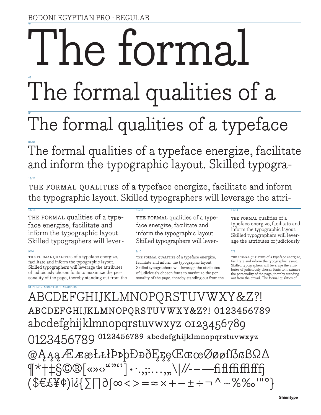# 96 he forma.

# 48 The formal qualities of a

# 36 The formal qualities of a typeface

24/26 The formal qualities of a typeface energize, facilitate and inform the typographic layout. Skilled typogra-

THE FORMAL QUALITIES of a typeface energize, facilitate and inform the typographic layout. Skilled typographers will leverage the attri-

 $18/21$ 

THE FORMAL qualities of a typeface energize, facilitate and inform the typographic layout. Skilled typographers will lever-

9/10 8/10 7/8 THE FORMAL QUALITIES of a typeface energize, facilitate and inform the typographic layout. Skilled typographers will leverage the attributes of judiciously chosen fonts to maximize the personality of the page, thereby standing out from the

THE FORMAL qualities of a typeface energize, facilitate and inform the typographic layout. Skilled typographers will lever-

THE FORMAL QUALITIES of a typeface energize, facilitate and inform the typographic layout. Skilled typographers will leverage the attributes of judiciously chosen fonts to maximize the personality of the page, thereby standing out from the

# $14/15$  12/15 12/15 12/16 12/17 12/18 12/18 12/18 12/18 12/18 12/18 12/18 12/18 12/18

THE FORMAL qualities of a typeface energize, facilitate and inform the typographic layout. Skilled typographers will leverage the attributes of judiciously

THE FORMAL QUALITIES of a typeface energize, facilitate and inform the typographic layout. Skilled typographers will leverage the attributes of judiciously chosen fonts to maximize the personality of the page, thereby standing out from the crowd. The formal qualities of

24 PT. NON-ACCENTED CHARACTERS ABCDEFGHIJKLMNOPQRSTUVWXY&Z?! abcdefghijklmnopqrstuvwxy&z?! 0123456789 abcdefghijklmnopqrstuvwxyz 0123456789 0123456789 0123456789 abcdefghijklmnopqrstuvwxyz @ĄąąÆææŁłłÞþþÐððĘęęŒœœØøøſẞẞßΩ∆  $\P^{\star}$ † $\frac{1}{2}$ §©®[«»‹› $\frac{1}{2}$ ''.,;:...,,,\|//---fi fl ffifflfff (\$€£¥¢)!?{∑∏∂∫∞<>=≈×+−±÷¬^~%‰'"°}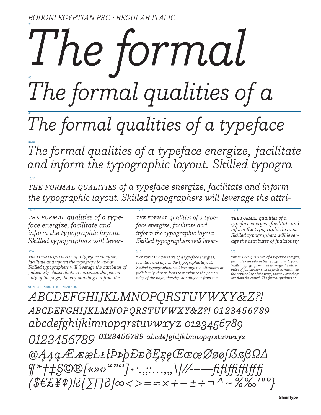# 96 48 *The formal*

*The formal qualities of a* 

# 36 *The formal qualities of a typeface*

24/26 The formal qualities of a typeface energize, facilitate *and inform the typographic layout. Skilled typogra-*

THE FORMAL QUALITIES of a typeface energize, facilitate and inform *the typographic layout. Skilled typographers will leverage the attri-*

 $14/15$  12/15 12/15 12/16 12/17 12/18 12/18 12/18 12/18 12/18 12/18 12/18 12/18 12/18

*the formal qualities of a typeface energize, facilitate and inform the typographic layout. Skilled typographers will lever-*

18/21

9/10 8/10 7/8 *the formal qualities of a typeface energize, facilitate and inform the typographic layout. Skilled typographers will leverage the attributes of judiciously chosen fonts to maximize the personality of the page, thereby standing out from the* 

*the formal qualities of a typeface energize, facilitate and inform the typographic layout. Skilled typographers will lever-*

*the formal qualities of a typeface energize, facilitate and inform the typographic layout. Skilled typographers will leverage the attributes of judiciously chosen fonts to maximize the personality of the page, thereby standing out from the* 

*the formal qualities of a typeface energize, facilitate and inform the typographic layout. Skilled typographers will leverage the attributes of judiciously* 

*the formal qualities of a typeface energize, facilitate and inform the typographic layout. Skilled typographers will leverage the attributes of judiciously chosen fonts to maximize the personality of the page, thereby standing out from the crowd. The formal qualities of* 

24 PT. NON-ACCENTED CHARACTERS *ABCDEFGHIJKLMNOPQRSTUVWXY&Z?! abcdefghijklmnopqrstuvwxy&z?! 0123456789 abcdefghijklmnopqrstuvwxyz 0123456789 0123456789 ⁰¹²³⁴⁵⁶⁷⁸⁹ abcdefghijklmⁿopqrstuvwxyz @ĄąąÆææŁłłÞþþÐððĘęęŒœœØøøſẞẞßΩ∆ ¶\*†‡§©®[«»‹›""'']•·.,;:…'"\|/⁄-–—fi flffifflff� (\$€£¥¢)!?{∑∏∂∫∞<>=≈×+−±÷¬^~%‰'"°}*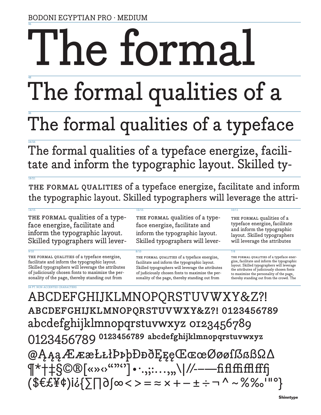# 96 The forma

# 48 The formal qualities of a

# 36 The formal qualities of a typeface

24/26 The formal qualities of a typeface energize, facilitate and inform the typographic layout. Skilled ty-

THE FORMAL QUALITIES of a typeface energize, facilitate and inform the typographic layout. Skilled typographers will leverage the attri-

 $18/21$ 

THE FORMAL qualities of a typeface energize, facilitate and inform the typographic layout. Skilled typographers will lever-

9/10 8/10 7/8 THE FORMAL QUALITIES of a typeface energize, facilitate and inform the typographic layout. Skilled typographers will leverage the attributes of judiciously chosen fonts to maximize the personality of the page, thereby standing out from

THE FORMAL qualities of a typeface energize, facilitate and inform the typographic layout. Skilled typographers will lever-

THE FORMAL QUALITIES of a typeface energize, facilitate and inform the typographic layout. Skilled typographers will leverage the attributes of judiciously chosen fonts to maximize the personality of the page, thereby standing out from

# $14/15$  12/15 12/15 12/16 12/17 12/18 12/18 12/18 12/18 12/18 12/18 12/18 12/18 12/18

THE FORMAL qualities of a typeface energize, facilitate and inform the typographic layout. Skilled typographers will leverage the attributes

THE FORMAL QUALITIES of a typeface energize, facilitate and inform the typographic layout. Skilled typographers will leverage the attributes of judiciously chosen fonts to maximize the personality of the page, thereby standing out from the crowd. The

24 PT. NON-ACCENTED CHARACTERS ABCDEFGHIJKLMNOPQRSTUVWXY&Z?! abcdefghijklmnopqrstuvwxy&z?! 0123456789 abcdefghijklmnopqrstuvwxyz 0123456789 0123456789 0123456789 abcdefghijklmnopqrstuvwxyz @ĄąąÆææŁłłÞþþÐððĘęęŒœœØøøſẞẞßΩ∆ T\*†‡§©®[«»<>""']•.,;:...,,,\|//-----fi fl ffifffffff (\$€£¥¢)!?{∑∏∂∫∞<>=≈×+−±÷¬^~%‰'"°}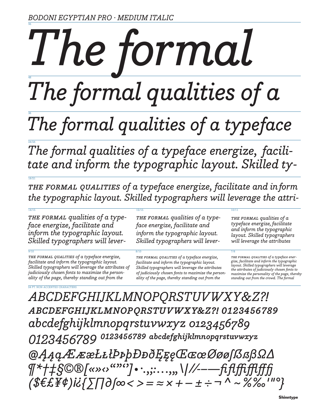# 96 48 *The formal The formal qualities of a*

# 36 *The formal qualities of a typeface*

24/26 The formal qualities of a typeface energize, facili*tate and inform the typographic layout. Skilled ty-*

18/21 *the formal qualities of a typeface energize, facilitate and in.form the typographic layout. Skilled typographers will leverage the attri-*

 $14/15$  12/15 12/15 12/16 12/17 12/18 12/18 12/18 12/18 12/18 12/18 12/18 12/18 12/18

*the formal qualities of a typeface energize, facilitate and inform the typographic layout. Skilled typographers will lever-*

9/10 8/10 7/8 *the formal qualities of a typeface energize, facilitate and inform the typographic layout. Skilled typographers will leverage the attributes of judiciously chosen fonts to maximize the personality of the page, thereby standing out from the* 

*the formal qualities of a typeface energize, facilitate and inform the typographic layout. Skilled typographers will lever-*

*the formal qualities of a typeface energize, facilitate and inform the typographic layout. Skilled typographers will leverage the attributes of judiciously chosen fonts to maximize the personality of the page, thereby standing out from the* 

*the formal qualities of a typeface energize, facilitate and inform the typographic layout. Skilled typographers will leverage the attributes* 

*the formal qualities of a typeface energize, facilitate and inform the typographic layout. Skilled typographers will leverage the attributes of judiciously chosen fonts to maximize the personality of the page, thereby standing out from the crowd. The formal* 

24 PT. NON-ACCENTED CHARACTERS *ABCDEFGHIJKLMNOPQRSTUVWXY&Z?! abcdefghijklmnopqrstuvwxy&z?! 0123456789 abcdefghijklmnopqrstuvwxyz 0123456789 0123456789 ⁰¹²³⁴⁵⁶⁷⁸⁹ abcdefghijklmⁿopqrstuvwxyz @ĄąąÆææŁłłÞþþÐððĘęęŒœœØøøſẞẞßΩ∆ ¶\*†‡§©®[«»‹›""'']•·.,;:…'"\|/⁄-–—fi flffifflff� (\$€£¥¢)!?{∑∏∂∫∞<>=≈×+−±÷¬^~%‰'"°}*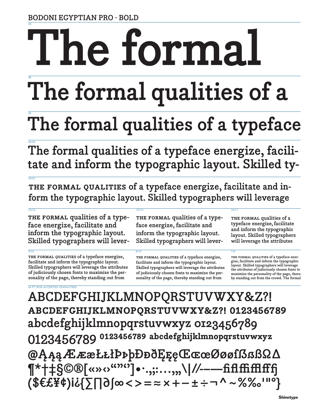**BODONI EGYPTIAN PRO · BOLD**

# 96 **The formal**

# 48 **The formal qualities of a**

# 36 **The formal qualities of a typeface**

24/26 **The formal qualities of a typeface energize, facilitate and inform the typographic layout. Skilled ty-**

**the formal qualities of a typeface energize, facilitate and inform the typographic layout. Skilled typographers will leverage** 

 $14/15$  12/15 12/15 12/16 12/17 12/18 12/18 12/18 12/18 12/18 12/18 12/18 12/18 12/18

**the formal qualities of a typeface energize, facilitate and inform the typographic layout. Skilled typographers will lever-**

 $18/21$ 

9/10 8/10 7/8 **the formal qualities of a typeface energize, facilitate and inform the typographic layout. Skilled typographers will leverage the attributes of judiciously chosen fonts to maximize the personality of the page, thereby standing out from** 

**the formal qualities of a typeface energize, facilitate and inform the typographic layout. Skilled typographers will lever-**

**the formal qualities of a typeface energize, facilitate and inform the typographic layout. Skilled typographers will leverage the attributes of judiciously chosen fonts to maximize the personality of the page, thereby standing out from** 

**the formal qualities of a typeface energize, facilitate and inform the typographic layout. Skilled typographers will leverage the attributes** 

**the formal qualities of a typeface energize, facilitate and inform the typographic layout. Skilled typographers will leverage the attributes of judiciously chosen fonts to maximize the personality of the page, there-by standing out from the crowd. The formal** 

24 PT. NON-ACCENTED CHARACTERS **ABCDEFGHIJKLMNOPQRSTUVWXY&Z?! abcdefghijklmnopqrstuvwxy&z?! 0123456789 abcdefghijklmnopqrstuvwxyz 0123456789** 0123456789 <sup>0123456789</sup> abcdefghijklmnopqrstuvwxyz **@ĄąąÆææŁłłÞþþÐððĘęęŒœœØøøſẞẞßΩ∆ ¶\*†‡§©®[«»‹›""'']•·.,;:…'"\|/⁄-–—fi fl ffifflff� (\$€£¥¢)!?{∑∏∂∫∞<>=≈×+−±÷¬^~%‰'"°}**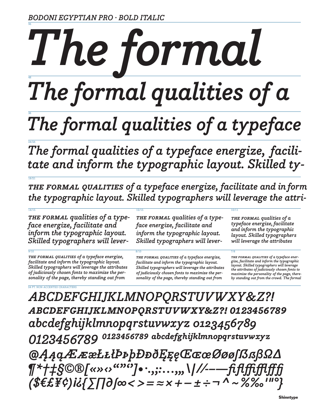# 96 48 *The formal The formal qualities of a*

# 36 *The formal qualities of a typeface*

24/26 The formal qualities of a typeface energize, facili*tate and inform the typographic layout. Skilled ty-*

18/21 *the formal qualities of a typeface energize, facilitate and in.form the typographic layout. Skilled typographers will leverage the attri-*

 $14/15$  12/15 12/15 12/16 12/17 12/18 12/18 12/18 12/18 12/18 12/18 12/18 12/18 12/18

*the formal qualities of a typeface energize, facilitate and inform the typographic layout. Skilled typographers will lever-*

9/10 8/10 7/8 *the formal qualities of a typeface energize, facilitate and inform the typographic layout. Skilled typographers will leverage the attributes of judiciously chosen fonts to maximize the personality of the page, thereby standing out from* 

*the formal qualities of a typeface energize, facilitate and inform the typographic layout. Skilled typographers will lever-*

*the formal qualities of a typeface energize, facilitate and inform the typographic layout. Skilled typographers will leverage the attributes of judiciously chosen fonts to maximize the personality of the page, thereby standing out from* 

*the formal qualities of a typeface energize, facilitate and inform the typographic layout. Skilled typographers will leverage the attributes* 

*the formal qualities of a typeface energize, facilitate and inform the typographic layout. Skilled typographers will leverage the attributes of judiciously chosen fonts to maximize the personality of the page, there-by standing out from the crowd. The formal* 

24 PT. NON-ACCENTED CHARACTERS *ABCDEFGHIJKLMNOPQRSTUVWXY&Z?! abcdefghijklmnopqrstuvwxy&z?! 0123456789 abcdefghijklmnopqrstuvwxyz 0123456789 0123456789 ⁰¹²³⁴⁵⁶⁷⁸⁹ abcdefghijklmⁿopqrstuvwxyz @ĄąąÆææŁłłÞþþÐððĘęęŒœœØøøſẞẞßΩ∆ ¶\*†‡§©®[«»‹›""'']•·.,;:…'"\|/⁄-–—fi flffifflff� (\$€£¥¢)!?{∑∏∂∫∞<>=≈×+−±÷¬^~%‰'"°}*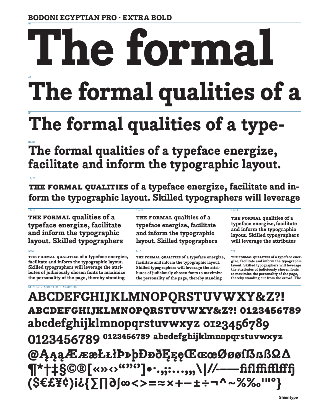# 96 48 **The formal**

# **The formal qualities of a**

# 36 **The formal qualities of a type-**

24/26 **The formal qualities of a typeface energize, facilitate and inform the typographic layout.** 

**the formal qualities of a typeface energize, facilitate and inform the typographic layout. Skilled typographers will leverage** 

 $14/15$  12/15 12/15 12/16 12/17 12/18 12/18 12/18 12/18 12/18 12/18 12/18 12/18 12/18 **the formal qualities of a typeface energize, facilitate and inform the typographic layout. Skilled typographers** 

18/21

9/10 8/10 7/8 **the formal qualities of a typeface energize, facilitate and inform the typographic layout. Skilled typographers will leverage the attributes of judiciously chosen fonts to maximize the personality of the page, thereby standing** 

**the formal qualities of a typeface energize, facilitate and inform the typographic layout. Skilled typographers** 

**the formal qualities of a typeface energize, facilitate and inform the typographic layout. Skilled typographers will leverage the attributes of judiciously chosen fonts to maximize the personality of the page, thereby standing** 

**the formal qualities of a typeface energize, facilitate and inform the typographic layout. Skilled typographers will leverage the attributes** 

**the formal qualities of a typeface energize, facilitate and inform the typographic layout. Skilled typographers will leverage the attributes of judiciously chosen fonts to maximize the personality of the page, thereby standing out from the crowd. The** 

24 PT. NON-ACCENTED CHARACTERS **ABCDEFGHIJKLMNOPQRSTUVWXY&Z?! abcdefghijklmnopqrstuvwxy&z?! 0123456789 abcdefghijklmnopqrstuvwxyz 0123456789** 0123456789 <sup>0123456789</sup> abcdefghijklmnopqrstuvwxyz **@ĄąąÆææŁłłÞþþÐððĘęęŒœœØøøſẞẞßΩ∆ T\*†‡§©®[«»**<><sup>«</sup>"']•·.,;:...,,,\|//--—fiflffifflfff **(\$€£¥¢)!?{∑∏∂∫∞<>=≈×+−±÷¬^~%‰'"°}**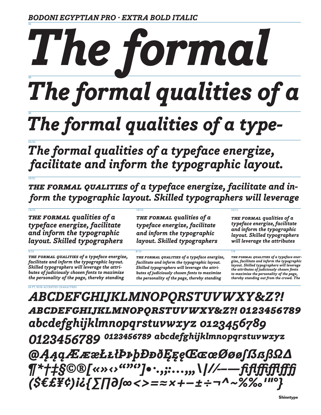96

18/21

# 48 *The formal The formal qualities of a*

# 36 *The formal qualities of a type-*

24/26 *The formal qualities of a typeface energize, .facilitate and inform the typographic layout.* 

 $14/15$  12/15 12/15 12/16 12/17 12/18 12/18 12/18 12/18 12/18 12/18 12/18 12/18 12/18

*the formal qualities of a typeface energize, facilitate and in- .form the typographic layout. Skilled typographers will leverage* 

*the formal qualities of a typeface energize, facilitate and inform the typographic layout. Skilled typographers* 

9/10 8/10 7/8 *the formal qualities of a typeface energize, facilitate and inform the typographic layout. Skilled typographers will leverage the attributes of judiciously chosen fonts to maximize the personality of the page, thereby standing* 

*the formal qualities of a typeface energize, facilitate and inform the typographic layout. Skilled typographers* 

*the formal qualities of a typeface energize, facilitate and inform the typographic layout. Skilled typographers will leverage the attributes of judiciously chosen fonts to maximize the personality of the page, thereby standing* 

*the formal qualities of a typeface energize, facilitate and inform the typographic layout. Skilled typographers will leverage the attributes* 

*the formal qualities of a typeface energize, facilitate and inform the typographic layout. Skilled typographers will leverage the attributes of judiciously chosen fonts to maximize the personality of the page, thereby standing out from the crowd. The* 

24 PT. NON-ACCENTED CHARACTERS *ABCDEFGHIJKLMNOPQRSTUVWXY&Z?! abcdefghijklmnopqrstuvwxy&z?! 0123456789 abcdefghijklmnopqrstuvwxyz 0123456789* 0123456789 0123456789 abcdefghijklmnopqrstuvwxyz *@ĄąąÆææŁłłÞþþÐððĘęęŒœœØøøſẞẞßΩ∆ ¶\*†‡§©®[«»‹›""'']•·.,;:…'"\|/⁄-–—fiflffifflff� (\$€£¥¢)!?{∑∏∂∫∞<>=≈×+−±÷¬^~%‰'"°}*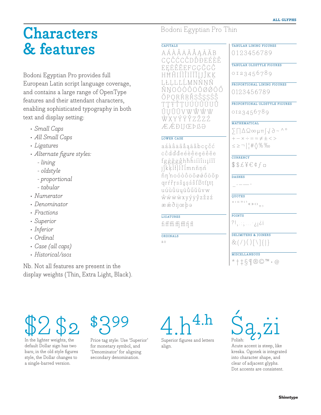# **Characters** & features

Bodoni Egyptian Pro provides full European Latin script language coverage, and contains a large range of OpenType features and their attendant characters, enabling sophisticated typography in both text and display setting:

- · Small Caps
- · All Small Caps
- Ligatures
- · Alternate figure styles:
	- lining
	- oldstyle
	- proportional
	- $-tabular$
- Numerator
- Denominator
- Fractions
- Superior
- Inferior
- Ordinal
- · Case (all caps)
- · Historical/sso1

Nb. Not all features are present in the display weights (Thin, Extra Light, Black).

# Bodoni Egyptian Pro Thin

# CAPITALS

AÁÀÂÄÃÅĄĀĂB CCČĆĊĈDĎĐEÉÈÊ ËEĒĚĔĖFGGĞĠĜ HĦĤIÍÎĨĨĬĬIJÎKK LŁLĿĽĹMNŃNÑ ŇNOÓÒÔÖÕØØŌŐ ŎPORŔRŘSŠSSŚŜ ŦŦŦŤŦIJÚÙŨŪÜŮ ŰUŬŨVWŴŴŴ WXYÝŸŶZŽŻŹ Æ ÆÐIIŒÞBƏ

# LOWER CASE

aáàâäãåaāăbcçčć côdďđeéèêëeēěĕė fgģğgghhhininini jîkkl}ll<sup>.</sup>I'Ímnñnń ňn'noóòôöõøǿőōŏp grŕřŗsšşsśŝfßtťtŧt uúùûüyūůűŭŭvw wwwxyýÿŷzžzź ææðijœþə

# **LIGATURES**

# ORDINALS

a o

TABULAR LINING FIGURES

0123456789

TABULAR OLDSTYLE FIGURES

0123456789

PROPORTIONAL LINING FIGURES 0123456789

PROPORTIONAL OLDSTYLE FIGURES

0123456789

# **MATHEMATICAL**

 $\sum \bigcap \Delta \Omega$ ∞µ $\Pi$  $\bigcup$  $\partial \sim$  ^°  $+-x \div \equiv \approx \neq \pm \lt$  $\leq \geq \neg$  |  $\mid \# \langle \rangle$  % ‰

CURRENCY

 $$ $f \notin \emptyset$$ 

**DASHES** 

QUOTES

 $\overline{H}$  = (CDC)  $\overline{X}$   $\overline{X}$   $\overline{Y}$   $\overline{Y}$   $\overline{Y}$ 

**POINTS** 

 $2!...;...;i$ 

DELIMITERS & JOINERS

 $\&(7)(.)[\1]{\}$ 

**MISCELLANEOUS** 

 $*+1$   $\S \Psi \otimes \Phi$   $\cdots$   $\omega$ 

In the lighter weights, the default Dollar sign has two bars; in the old style figures style, the Dollar changes to a single-barred version.



Price tag style: Use 'Superior' for monetary symbol, and 'Denominator' for aligning secondary denomination.

Superior figures and letters align.

# $P<sub>olich</sub>$

Acute accent is steep, like kreska. Ogonek is integrated into character shape, and clear of adjacent glyphs. Dot accents are consistent.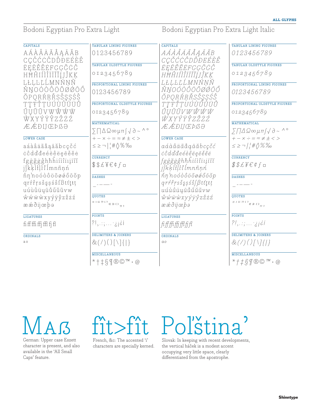# Bodoni Egyptian Pro Extra Light Bodoni Egyptian Pro Extra Light Italic

| <b>CAPITALS</b>                          | <b>TABULAR LINING FIGURES</b>                                                                                                                                                                                                                                                                                                                                                                                                                                                                                                                                                                                                                  | <b>CAPITALS</b>                                                                                      | <b>TABULAR LINING FIGURES</b>                                                     |
|------------------------------------------|------------------------------------------------------------------------------------------------------------------------------------------------------------------------------------------------------------------------------------------------------------------------------------------------------------------------------------------------------------------------------------------------------------------------------------------------------------------------------------------------------------------------------------------------------------------------------------------------------------------------------------------------|------------------------------------------------------------------------------------------------------|-----------------------------------------------------------------------------------|
| AÁÀÂÄÃÅĄĀĂB<br>CÇČĆĊĈDĎĐEÉÈÊ             | 0123456789                                                                                                                                                                                                                                                                                                                                                                                                                                                                                                                                                                                                                                     | AÁÀAÄÄÅAĀĂB<br>CÇČĆĊĈDĎĐEÉÈÊ                                                                         | 0123456789                                                                        |
| ËEĒĚĔĖFGÇĞĠĜ                             | TABULAR OLDSTYLE FIGURES                                                                                                                                                                                                                                                                                                                                                                                                                                                                                                                                                                                                                       | ËEĒĚĔĖFGĢĞĠĜ                                                                                         | TABULAR OLDSTYLE FIGURES                                                          |
| HĦĤIÍÎÎĨĨĬIJÎKK                          | 0123456789                                                                                                                                                                                                                                                                                                                                                                                                                                                                                                                                                                                                                                     | HĦĤIÍÌĨĬĨĬIJĴKĶ                                                                                      | 0123456789                                                                        |
| LŁĻĿĽĹMNŃŅÑ                              | PROPORTIONAL LINING FIGURES                                                                                                                                                                                                                                                                                                                                                                                                                                                                                                                                                                                                                    | LŁĻĿĽĹMNŃNÑ                                                                                          | PROPORTIONAL LINING FIGURES                                                       |
| ŇŊOÓÒÔÖÕØØŌŐ<br>ŎPQRŔŖŘSŠŞŞŚŜ            | 0123456789                                                                                                                                                                                                                                                                                                                                                                                                                                                                                                                                                                                                                                     | ŇNOÓÒÔÖÕØØŌŐ<br>ŎPQRŔŖŘSŠŞŞŚŜ                                                                        | 0123456789                                                                        |
| TTŦTTUÚÙÛŪÜŮ                             | PROPORTIONAL OLDSTYLE FIGURES                                                                                                                                                                                                                                                                                                                                                                                                                                                                                                                                                                                                                  | <b>TTŦŤTUÚÙŰÚĨĨ</b>                                                                                  | PROPORTIONAL OLDSTYLE FIGURES                                                     |
| ŰŬŬŨVWŴŴŴ<br>ŴXYÝŸŶZŽŻŹ                  | 0123456789                                                                                                                                                                                                                                                                                                                                                                                                                                                                                                                                                                                                                                     | ŰŲŬŨVWŴŴŴ<br><i>ŴXYÝŸŶZŽŻŹ</i>                                                                       | 0123456789                                                                        |
| Æ Æ ÐIJ ŒÞ ß Ə                           | MATHEMATICAL                                                                                                                                                                                                                                                                                                                                                                                                                                                                                                                                                                                                                                   | Æ Æ ÐIJŒÞßƏ                                                                                          | <b>MATHEMATICAL</b>                                                               |
|                                          | $\sum \bigcap \bigtriangleup \mathfrak{Q} \infty \mu \pi \big( \bigvee \partial \sim \wedge^{\circ}$                                                                                                                                                                                                                                                                                                                                                                                                                                                                                                                                           |                                                                                                      | $\sum \sqrt{2\omega \mu \pi/\sqrt{d}} \sim \Delta$                                |
| <b>LOWER CASE</b>                        | $+-x \div = \approx \neq \pm \lt$                                                                                                                                                                                                                                                                                                                                                                                                                                                                                                                                                                                                              | <b>LOWER CASE</b>                                                                                    | $+-x \div = \approx \neq \pm \lt$                                                 |
| aáàâäãåąāăbcçčć                          | $\leq \geq -\left  \frac{1}{1} \# \left\{ \right\} \right\rangle \frac{1}{100}$                                                                                                                                                                                                                                                                                                                                                                                                                                                                                                                                                                | aáàâäãåąāăbcçčć                                                                                      | $\leq$ $\geq$ $\frac{1}{1}$ $\neq$ $\Diamond$ % ‰                                 |
| ccdddeéèêëeeěěe                          |                                                                                                                                                                                                                                                                                                                                                                                                                                                                                                                                                                                                                                                | ccdd'deéèêëeeĕĕë                                                                                     |                                                                                   |
| fgģğģĝhħĥiíìîiiįīĩĭ<br>jîkkl}ll·l'İmnñnń | <b>CURRENCY</b><br>$$$f$ ¥ $f$ ¤                                                                                                                                                                                                                                                                                                                                                                                                                                                                                                                                                                                                               | fggggghhhiúiiiiiū<br>jîkklillilmnñnn                                                                 | <b>CURRENCY</b><br>$\texttt{\$SLEY}\in \phi f \circ$                              |
| ňn'noóòôöõøǿőōŏp                         | <b>DASHES</b>                                                                                                                                                                                                                                                                                                                                                                                                                                                                                                                                                                                                                                  | ňn'noóòôöōøøőōŏp                                                                                     | <b>DASHES</b>                                                                     |
| qrŕřŗsšşsśŝfßtťţŧţ                       |                                                                                                                                                                                                                                                                                                                                                                                                                                                                                                                                                                                                                                                | $qr\acute{r}\acute{r}rs\acute{s}s$ șś $\hat{s}/\beta t\acute{t}t$ țt                                 |                                                                                   |
| uúùûüyūůűŭŭvw                            |                                                                                                                                                                                                                                                                                                                                                                                                                                                                                                                                                                                                                                                | uúùûüyūůűŭũvw                                                                                        |                                                                                   |
| wwwwxyýÿŷzžzź                            | <b>QUOTES</b>                                                                                                                                                                                                                                                                                                                                                                                                                                                                                                                                                                                                                                  | $\hat{w}\,\hat{w}\,\hat{w}\,\hat{w}\,xy\,\hat{y}\,\hat{y}\,\hat{z}\,\check{z}\,\check{z}\,\check{z}$ | <b>QUOTES</b>                                                                     |
| ææðijœþə                                 | $\begin{array}{c} \mathbb{H} + \alpha \gg \zeta \rightarrow \mathbb{R} \rightarrow \mathbb{R} \rightarrow \mathbb{R} \rightarrow \mathbb{R} \rightarrow \mathbb{R} \rightarrow \mathbb{R} \rightarrow \mathbb{R} \rightarrow \mathbb{R} \rightarrow \mathbb{R} \rightarrow \mathbb{R} \rightarrow \mathbb{R} \rightarrow \mathbb{R} \rightarrow \mathbb{R} \rightarrow \mathbb{R} \rightarrow \mathbb{R} \rightarrow \mathbb{R} \rightarrow \mathbb{R} \rightarrow \mathbb{R} \rightarrow \mathbb{R} \rightarrow \mathbb{R} \rightarrow \mathbb{R} \rightarrow \mathbb{R} \rightarrow \mathbb{R} \rightarrow \mathbb{R} \rightarrow \mathbb{R$ | ææðijœþə                                                                                             |                                                                                   |
| <b>LIGATURES</b>                         | <b>POINTS</b>                                                                                                                                                                                                                                                                                                                                                                                                                                                                                                                                                                                                                                  | <b>LIGATURES</b>                                                                                     | <b>POINTS</b>                                                                     |
| $\operatorname{fifffiffffffff}$          | $?!, \ldots ; \ldots ;$                                                                                                                                                                                                                                                                                                                                                                                                                                                                                                                                                                                                                        | fifffffffffffff                                                                                      | ?!, :;  :                                                                         |
| ORDINALS                                 | <b>DELIMITERS &amp; JOINERS</b>                                                                                                                                                                                                                                                                                                                                                                                                                                                                                                                                                                                                                | <b>ORDINALS</b>                                                                                      | <b>DELIMITERS &amp; JOINERS</b>                                                   |
| a o                                      | $\&(')()[\1][\]$                                                                                                                                                                                                                                                                                                                                                                                                                                                                                                                                                                                                                               | $a$ o                                                                                                | $&(7)(7\\ 11)$                                                                    |
|                                          | <b>MISCELLANEOUS</b>                                                                                                                                                                                                                                                                                                                                                                                                                                                                                                                                                                                                                           |                                                                                                      | <b>MISCELLANEOUS</b>                                                              |
|                                          |                                                                                                                                                                                                                                                                                                                                                                                                                                                                                                                                                                                                                                                |                                                                                                      | $*+$ $\sharp$ $\circ$ $\mathbb{R}$ $\mathbb{C}$ $\mathbb{C}$ $\cdot$ $\mathbb{C}$ |



character is present, and also available in the 'All Small Caps' feature.



characters are specially kerned.

# Poľština'

Slovak: In keeping with recent developments, the vertical háček is a modest accent occupying very little space, clearly differentiated from the apostrophe.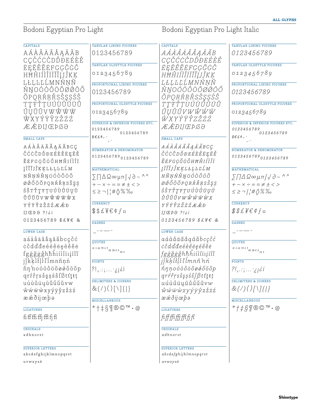# Bodoni Egyptian Pro Light Bodoni Egyptian Pro Light Italic

| AÁÀÂÄÃÅĄĀĂB<br>AÁÀAÄÄÅAĀĂB<br>0123456789<br>0123456789<br>CÇČĆĊĈDĎĐEÉÈÊ<br><i>CÇČĆĊĈDĎĐEÉÈÊ</i><br>TABULAR OLDSTYLE FIGURES<br>TABULAR OLDSTYLE FIGURES<br><b>ËEĒĚĔEFGÇĞĠĜ</b><br>ËEĒĚĔĖFGĢĞĠĜ<br>0123456789<br>0123456789<br>HĦĤIÍÌĨĨĨĬĮJĴKĶ<br>HĦĤIÍÌĨĨĨĬIJĴKK<br>LŁĻĿĽĹMNŃŅÑ<br><i>LŁĻĿĽĹMNŃŅÑ</i><br>PROPORTIONAL LINING FIGURES<br>ŇŊOÓÒÔÖÕØØŌŐ<br>ŇŊOÓÒÔÖÕØØŌŐ<br>0123456789<br>0123456789<br>ŎPQRŔŖŘSŠŞŞŚŜ<br>ŎPQRŔŖŘSŠŞŞŚŜ<br>TŢŦŤŢUÚÙŨŪŨŬ<br><i>ŦŦŦŤŢUÚÙÛŪŨŬ</i><br>PROPORTIONAL OLDSTYLE FIGURES<br>ŰŲŬŨVWŴŴŴ<br>ŰŲŬŨVWŴŴŴ<br>0123456789<br>0123456789<br>WXYÝŸŶZŽŻŹ<br><i>ŴXYÝŸŶZŽZŹ</i><br>SUPERIOR & INFERIOR FIGURES ETC.<br>ÆÆÐIJŒÞßƏ<br>ÆÆÐIJŒÞßƏ<br>0123456789<br>0123456789<br>0123456789<br>0123456789<br>$$E f$ , $\cdot$<br>$$E f \phi$ ,<br>SMALL CAPS<br><b>SMALL CAPS</b><br>AÁÀÂÄÃÅĄĀĂBCÇ<br>AÁÀÂÄÃÅĄĀĂBCÇ<br><b>NUMERATOR &amp; DENOMINATOR</b><br>ČĆĊĈDĎĐEÉÈÊËĘĒĚ<br>ČĆĊĈDĎĐEÉÈÊËĘĒĚ<br>0123456789 0123456789<br>ĔĖFGĢĞĠĜHĦĤIÍÌÎÏ<br><b>ĔĖFGÇĞĠĜHĦĤIÍÌÎ</b> Ï<br><b>JĪĨĬJĴKĶLŁĻĿĽĹM</b><br><i>JĪĨĬJĴKĶLŁĻĿĽĹM</i><br><b>MATHEMATICAL</b><br><b>MATHEMATICAL</b><br>NÑŅŃŇŊOÓÒÔÖÕ<br>NÑŅŃŇŊOÓÒÔÖÕ<br>$\sum \prod \Delta \Omega$ $\infty$ $\mu$ $\pi$ $\int$ $\sqrt{d}$ $\sim$ ^ $\circ$<br>$\sum \bigcap \triangle \Omega$ $\infty$ $\mu$ T $\int \sqrt{\partial \sim}$ ^ °<br>ØÓŐŌŎPQRŔŘŖSŠŞŞ<br>Ø Ő Ő Ō Ŏ P Q R Ŕ Ř Ŗ S Š Ş Ş<br>$+-x \div = \approx \neq \pm \lt$<br>$+-x \div = z \neq \pm \lt$<br>ŚŜTŤŢŦŢUÚÙÛÜŲŪ<br>ŚŜŦŤŢŦŢŪÚÙÛÜŲŪ<br>$\leq \geq -\left  \frac{1}{1} \# \left\langle \right\rangle \right  \leq \frac{1}{100}$<br>$\leq \geq \neg / / \# \sqrt{2 \cdot \frac{2}{\infty}}$<br>Ů Ű Ŭ Ũ V W Ŵ Ŵ Ŵ Ŵ X<br>Ů Ű Ŭ Ũ V W Ŵ Ŵ Ŵ W X<br><b>CURRENCY</b><br><b>CURRENCY</b><br><b>YÝŸŶZŽŻŹÆÆĐ</b><br>YÝŸŶZŽŻŹÆÆĐ<br>$$$f$ ¥ $f$ ¢ $f$ ¤<br>$$$f$ f $f$ ¤<br>$IJ$ $E$ $P$ $\theta$ $?$ ! $i$ i<br>$IJ$ $E$ $P$ $\theta$ $?$ ! $\delta$ i<br>0123456789 \$£¥€ &<br>0123456789 \$£¥€ &<br><b>DASHES</b><br><b>DASHES</b><br><b>LOWER CASE</b><br><b>LOWER CASE</b><br>aáàâäãåąāăbcçčć<br>aáàâäãåaāăbcçčć<br>QUOTES<br><b>QUOTES</b><br>ccdddeéeeeeeee<br>ccdd'deéèêëeēěëe<br>$\sqrt{1 + \alpha \, \mathcal{D} \, \mathcal{O}} \, \xrightarrow{\text{Weyl} \, \mathcal{O}} \, \mathcal{O} \, \mathcal{D} \, \mathcal{O}$<br>$\begin{array}{ccccc} \pi & \alpha & \beta & \gamma & \gamma \\ \end{array}$<br>fgģğgghhhiíiiiiiii<br>fgģğgĝhħĥiíìîūįīĩĭ<br>jîkklllll'Imnñnń<br>jîkklill l'Imnñ'nń<br><b>POINTS</b><br><b>POINTS</b><br>ňn'noóòôöõøøőōŏp<br>ňnnoóòôöõøøőōŏp<br>$?!,::;:_j$ i<br>$?!,::;:_j$ i<br>qrŕřŗsšşșśŝfßtťțŧț<br>$qr$ ŕrsšşșśŝ∫ $\beta$ tt'ţŧț<br>DELIMITERS & JOINERS<br>DELIMITERS & JOINERS<br>uúùûüyūůűŭũvw<br>uúùûüųūůűŭŭvw<br>$\&(')()[\1]\{\}\$<br>$\&(')()[\1][\]$<br>ŵŵẅẁxyýÿŷzžżź<br>wwwwxyýÿŷzžżź<br>ææðijœþə<br>ææðijœþə<br><b>MISCELLANEOUS</b><br><b>MISCELLANEOUS</b><br>$*+$ $\frac{1}{2}$ $\frac{1}{2}$ $\frac{1}{2}$ $\frac{1}{2}$ $\frac{1}{2}$ $\frac{1}{2}$ $\frac{1}{2}$ $\frac{1}{2}$ $\frac{1}{2}$ $\frac{1}{2}$ $\frac{1}{2}$<br>$*++$ $S$ T $\mathbb{R}$ $\mathbb{C}$ $^{\mathbb{TM}}$ $\cdot$ $\mathbb{Q}$<br><b>LIGATURES</b><br><b>LIGATURES</b><br>$\operatorname{fifffiffffffff}$<br>fifffiffiffifif<br><b>ORDINALS</b><br><b>ORDINALS</b><br>adhnorst<br>adhnorst | <b>CAPITALS</b> | TABULAR LINING FIGURES | <b>CAPITALS</b> | <b>TABULAR LINING FIGURES</b>      |
|-----------------------------------------------------------------------------------------------------------------------------------------------------------------------------------------------------------------------------------------------------------------------------------------------------------------------------------------------------------------------------------------------------------------------------------------------------------------------------------------------------------------------------------------------------------------------------------------------------------------------------------------------------------------------------------------------------------------------------------------------------------------------------------------------------------------------------------------------------------------------------------------------------------------------------------------------------------------------------------------------------------------------------------------------------------------------------------------------------------------------------------------------------------------------------------------------------------------------------------------------------------------------------------------------------------------------------------------------------------------------------------------------------------------------------------------------------------------------------------------------------------------------------------------------------------------------------------------------------------------------------------------------------------------------------------------------------------------------------------------------------------------------------------------------------------------------------------------------------------------------------------------------------------------------------------------------------------------------------------------------------------------------------------------------------------------------------------------------------------------------------------------------------------------------------------------------------------------------------------------------------------------------------------------------------------------------------------------------------------------------------------------------------------------------------------------------------------------------------------------------------------------------------------------------------------------------------------------------------------------------------------------------------------------------------------------------------------------------------------------------------------------------------------------------------------------------------------------------------------------------------------------------------------------------------------------------------------------------------------------------------------------------------------------------------------------------------------------------------------------------------------------------------------------------------------------------------------------------------------------------------|-----------------|------------------------|-----------------|------------------------------------|
|                                                                                                                                                                                                                                                                                                                                                                                                                                                                                                                                                                                                                                                                                                                                                                                                                                                                                                                                                                                                                                                                                                                                                                                                                                                                                                                                                                                                                                                                                                                                                                                                                                                                                                                                                                                                                                                                                                                                                                                                                                                                                                                                                                                                                                                                                                                                                                                                                                                                                                                                                                                                                                                                                                                                                                                                                                                                                                                                                                                                                                                                                                                                                                                                                                                     |                 |                        |                 |                                    |
|                                                                                                                                                                                                                                                                                                                                                                                                                                                                                                                                                                                                                                                                                                                                                                                                                                                                                                                                                                                                                                                                                                                                                                                                                                                                                                                                                                                                                                                                                                                                                                                                                                                                                                                                                                                                                                                                                                                                                                                                                                                                                                                                                                                                                                                                                                                                                                                                                                                                                                                                                                                                                                                                                                                                                                                                                                                                                                                                                                                                                                                                                                                                                                                                                                                     |                 |                        |                 |                                    |
|                                                                                                                                                                                                                                                                                                                                                                                                                                                                                                                                                                                                                                                                                                                                                                                                                                                                                                                                                                                                                                                                                                                                                                                                                                                                                                                                                                                                                                                                                                                                                                                                                                                                                                                                                                                                                                                                                                                                                                                                                                                                                                                                                                                                                                                                                                                                                                                                                                                                                                                                                                                                                                                                                                                                                                                                                                                                                                                                                                                                                                                                                                                                                                                                                                                     |                 |                        |                 |                                    |
|                                                                                                                                                                                                                                                                                                                                                                                                                                                                                                                                                                                                                                                                                                                                                                                                                                                                                                                                                                                                                                                                                                                                                                                                                                                                                                                                                                                                                                                                                                                                                                                                                                                                                                                                                                                                                                                                                                                                                                                                                                                                                                                                                                                                                                                                                                                                                                                                                                                                                                                                                                                                                                                                                                                                                                                                                                                                                                                                                                                                                                                                                                                                                                                                                                                     |                 |                        |                 |                                    |
|                                                                                                                                                                                                                                                                                                                                                                                                                                                                                                                                                                                                                                                                                                                                                                                                                                                                                                                                                                                                                                                                                                                                                                                                                                                                                                                                                                                                                                                                                                                                                                                                                                                                                                                                                                                                                                                                                                                                                                                                                                                                                                                                                                                                                                                                                                                                                                                                                                                                                                                                                                                                                                                                                                                                                                                                                                                                                                                                                                                                                                                                                                                                                                                                                                                     |                 |                        |                 | PROPORTIONAL LINING FIGURES        |
|                                                                                                                                                                                                                                                                                                                                                                                                                                                                                                                                                                                                                                                                                                                                                                                                                                                                                                                                                                                                                                                                                                                                                                                                                                                                                                                                                                                                                                                                                                                                                                                                                                                                                                                                                                                                                                                                                                                                                                                                                                                                                                                                                                                                                                                                                                                                                                                                                                                                                                                                                                                                                                                                                                                                                                                                                                                                                                                                                                                                                                                                                                                                                                                                                                                     |                 |                        |                 |                                    |
|                                                                                                                                                                                                                                                                                                                                                                                                                                                                                                                                                                                                                                                                                                                                                                                                                                                                                                                                                                                                                                                                                                                                                                                                                                                                                                                                                                                                                                                                                                                                                                                                                                                                                                                                                                                                                                                                                                                                                                                                                                                                                                                                                                                                                                                                                                                                                                                                                                                                                                                                                                                                                                                                                                                                                                                                                                                                                                                                                                                                                                                                                                                                                                                                                                                     |                 |                        |                 | PROPORTIONAL OLDSTYLE FIGURES      |
|                                                                                                                                                                                                                                                                                                                                                                                                                                                                                                                                                                                                                                                                                                                                                                                                                                                                                                                                                                                                                                                                                                                                                                                                                                                                                                                                                                                                                                                                                                                                                                                                                                                                                                                                                                                                                                                                                                                                                                                                                                                                                                                                                                                                                                                                                                                                                                                                                                                                                                                                                                                                                                                                                                                                                                                                                                                                                                                                                                                                                                                                                                                                                                                                                                                     |                 |                        |                 |                                    |
|                                                                                                                                                                                                                                                                                                                                                                                                                                                                                                                                                                                                                                                                                                                                                                                                                                                                                                                                                                                                                                                                                                                                                                                                                                                                                                                                                                                                                                                                                                                                                                                                                                                                                                                                                                                                                                                                                                                                                                                                                                                                                                                                                                                                                                                                                                                                                                                                                                                                                                                                                                                                                                                                                                                                                                                                                                                                                                                                                                                                                                                                                                                                                                                                                                                     |                 |                        |                 | SUPERIOR & INFERIOR FIGURES ETC.   |
|                                                                                                                                                                                                                                                                                                                                                                                                                                                                                                                                                                                                                                                                                                                                                                                                                                                                                                                                                                                                                                                                                                                                                                                                                                                                                                                                                                                                                                                                                                                                                                                                                                                                                                                                                                                                                                                                                                                                                                                                                                                                                                                                                                                                                                                                                                                                                                                                                                                                                                                                                                                                                                                                                                                                                                                                                                                                                                                                                                                                                                                                                                                                                                                                                                                     |                 |                        |                 |                                    |
|                                                                                                                                                                                                                                                                                                                                                                                                                                                                                                                                                                                                                                                                                                                                                                                                                                                                                                                                                                                                                                                                                                                                                                                                                                                                                                                                                                                                                                                                                                                                                                                                                                                                                                                                                                                                                                                                                                                                                                                                                                                                                                                                                                                                                                                                                                                                                                                                                                                                                                                                                                                                                                                                                                                                                                                                                                                                                                                                                                                                                                                                                                                                                                                                                                                     |                 |                        |                 |                                    |
|                                                                                                                                                                                                                                                                                                                                                                                                                                                                                                                                                                                                                                                                                                                                                                                                                                                                                                                                                                                                                                                                                                                                                                                                                                                                                                                                                                                                                                                                                                                                                                                                                                                                                                                                                                                                                                                                                                                                                                                                                                                                                                                                                                                                                                                                                                                                                                                                                                                                                                                                                                                                                                                                                                                                                                                                                                                                                                                                                                                                                                                                                                                                                                                                                                                     |                 |                        |                 |                                    |
|                                                                                                                                                                                                                                                                                                                                                                                                                                                                                                                                                                                                                                                                                                                                                                                                                                                                                                                                                                                                                                                                                                                                                                                                                                                                                                                                                                                                                                                                                                                                                                                                                                                                                                                                                                                                                                                                                                                                                                                                                                                                                                                                                                                                                                                                                                                                                                                                                                                                                                                                                                                                                                                                                                                                                                                                                                                                                                                                                                                                                                                                                                                                                                                                                                                     |                 |                        |                 | <b>NUMERATOR &amp; DENOMINATOR</b> |
|                                                                                                                                                                                                                                                                                                                                                                                                                                                                                                                                                                                                                                                                                                                                                                                                                                                                                                                                                                                                                                                                                                                                                                                                                                                                                                                                                                                                                                                                                                                                                                                                                                                                                                                                                                                                                                                                                                                                                                                                                                                                                                                                                                                                                                                                                                                                                                                                                                                                                                                                                                                                                                                                                                                                                                                                                                                                                                                                                                                                                                                                                                                                                                                                                                                     |                 |                        |                 | 0123456789 0123456789              |
|                                                                                                                                                                                                                                                                                                                                                                                                                                                                                                                                                                                                                                                                                                                                                                                                                                                                                                                                                                                                                                                                                                                                                                                                                                                                                                                                                                                                                                                                                                                                                                                                                                                                                                                                                                                                                                                                                                                                                                                                                                                                                                                                                                                                                                                                                                                                                                                                                                                                                                                                                                                                                                                                                                                                                                                                                                                                                                                                                                                                                                                                                                                                                                                                                                                     |                 |                        |                 |                                    |
|                                                                                                                                                                                                                                                                                                                                                                                                                                                                                                                                                                                                                                                                                                                                                                                                                                                                                                                                                                                                                                                                                                                                                                                                                                                                                                                                                                                                                                                                                                                                                                                                                                                                                                                                                                                                                                                                                                                                                                                                                                                                                                                                                                                                                                                                                                                                                                                                                                                                                                                                                                                                                                                                                                                                                                                                                                                                                                                                                                                                                                                                                                                                                                                                                                                     |                 |                        |                 |                                    |
|                                                                                                                                                                                                                                                                                                                                                                                                                                                                                                                                                                                                                                                                                                                                                                                                                                                                                                                                                                                                                                                                                                                                                                                                                                                                                                                                                                                                                                                                                                                                                                                                                                                                                                                                                                                                                                                                                                                                                                                                                                                                                                                                                                                                                                                                                                                                                                                                                                                                                                                                                                                                                                                                                                                                                                                                                                                                                                                                                                                                                                                                                                                                                                                                                                                     |                 |                        |                 |                                    |
|                                                                                                                                                                                                                                                                                                                                                                                                                                                                                                                                                                                                                                                                                                                                                                                                                                                                                                                                                                                                                                                                                                                                                                                                                                                                                                                                                                                                                                                                                                                                                                                                                                                                                                                                                                                                                                                                                                                                                                                                                                                                                                                                                                                                                                                                                                                                                                                                                                                                                                                                                                                                                                                                                                                                                                                                                                                                                                                                                                                                                                                                                                                                                                                                                                                     |                 |                        |                 |                                    |
|                                                                                                                                                                                                                                                                                                                                                                                                                                                                                                                                                                                                                                                                                                                                                                                                                                                                                                                                                                                                                                                                                                                                                                                                                                                                                                                                                                                                                                                                                                                                                                                                                                                                                                                                                                                                                                                                                                                                                                                                                                                                                                                                                                                                                                                                                                                                                                                                                                                                                                                                                                                                                                                                                                                                                                                                                                                                                                                                                                                                                                                                                                                                                                                                                                                     |                 |                        |                 |                                    |
|                                                                                                                                                                                                                                                                                                                                                                                                                                                                                                                                                                                                                                                                                                                                                                                                                                                                                                                                                                                                                                                                                                                                                                                                                                                                                                                                                                                                                                                                                                                                                                                                                                                                                                                                                                                                                                                                                                                                                                                                                                                                                                                                                                                                                                                                                                                                                                                                                                                                                                                                                                                                                                                                                                                                                                                                                                                                                                                                                                                                                                                                                                                                                                                                                                                     |                 |                        |                 |                                    |
|                                                                                                                                                                                                                                                                                                                                                                                                                                                                                                                                                                                                                                                                                                                                                                                                                                                                                                                                                                                                                                                                                                                                                                                                                                                                                                                                                                                                                                                                                                                                                                                                                                                                                                                                                                                                                                                                                                                                                                                                                                                                                                                                                                                                                                                                                                                                                                                                                                                                                                                                                                                                                                                                                                                                                                                                                                                                                                                                                                                                                                                                                                                                                                                                                                                     |                 |                        |                 |                                    |
|                                                                                                                                                                                                                                                                                                                                                                                                                                                                                                                                                                                                                                                                                                                                                                                                                                                                                                                                                                                                                                                                                                                                                                                                                                                                                                                                                                                                                                                                                                                                                                                                                                                                                                                                                                                                                                                                                                                                                                                                                                                                                                                                                                                                                                                                                                                                                                                                                                                                                                                                                                                                                                                                                                                                                                                                                                                                                                                                                                                                                                                                                                                                                                                                                                                     |                 |                        |                 |                                    |
|                                                                                                                                                                                                                                                                                                                                                                                                                                                                                                                                                                                                                                                                                                                                                                                                                                                                                                                                                                                                                                                                                                                                                                                                                                                                                                                                                                                                                                                                                                                                                                                                                                                                                                                                                                                                                                                                                                                                                                                                                                                                                                                                                                                                                                                                                                                                                                                                                                                                                                                                                                                                                                                                                                                                                                                                                                                                                                                                                                                                                                                                                                                                                                                                                                                     |                 |                        |                 |                                    |
|                                                                                                                                                                                                                                                                                                                                                                                                                                                                                                                                                                                                                                                                                                                                                                                                                                                                                                                                                                                                                                                                                                                                                                                                                                                                                                                                                                                                                                                                                                                                                                                                                                                                                                                                                                                                                                                                                                                                                                                                                                                                                                                                                                                                                                                                                                                                                                                                                                                                                                                                                                                                                                                                                                                                                                                                                                                                                                                                                                                                                                                                                                                                                                                                                                                     |                 |                        |                 |                                    |
|                                                                                                                                                                                                                                                                                                                                                                                                                                                                                                                                                                                                                                                                                                                                                                                                                                                                                                                                                                                                                                                                                                                                                                                                                                                                                                                                                                                                                                                                                                                                                                                                                                                                                                                                                                                                                                                                                                                                                                                                                                                                                                                                                                                                                                                                                                                                                                                                                                                                                                                                                                                                                                                                                                                                                                                                                                                                                                                                                                                                                                                                                                                                                                                                                                                     |                 |                        |                 |                                    |
|                                                                                                                                                                                                                                                                                                                                                                                                                                                                                                                                                                                                                                                                                                                                                                                                                                                                                                                                                                                                                                                                                                                                                                                                                                                                                                                                                                                                                                                                                                                                                                                                                                                                                                                                                                                                                                                                                                                                                                                                                                                                                                                                                                                                                                                                                                                                                                                                                                                                                                                                                                                                                                                                                                                                                                                                                                                                                                                                                                                                                                                                                                                                                                                                                                                     |                 |                        |                 |                                    |
|                                                                                                                                                                                                                                                                                                                                                                                                                                                                                                                                                                                                                                                                                                                                                                                                                                                                                                                                                                                                                                                                                                                                                                                                                                                                                                                                                                                                                                                                                                                                                                                                                                                                                                                                                                                                                                                                                                                                                                                                                                                                                                                                                                                                                                                                                                                                                                                                                                                                                                                                                                                                                                                                                                                                                                                                                                                                                                                                                                                                                                                                                                                                                                                                                                                     |                 |                        |                 |                                    |
|                                                                                                                                                                                                                                                                                                                                                                                                                                                                                                                                                                                                                                                                                                                                                                                                                                                                                                                                                                                                                                                                                                                                                                                                                                                                                                                                                                                                                                                                                                                                                                                                                                                                                                                                                                                                                                                                                                                                                                                                                                                                                                                                                                                                                                                                                                                                                                                                                                                                                                                                                                                                                                                                                                                                                                                                                                                                                                                                                                                                                                                                                                                                                                                                                                                     |                 |                        |                 |                                    |
|                                                                                                                                                                                                                                                                                                                                                                                                                                                                                                                                                                                                                                                                                                                                                                                                                                                                                                                                                                                                                                                                                                                                                                                                                                                                                                                                                                                                                                                                                                                                                                                                                                                                                                                                                                                                                                                                                                                                                                                                                                                                                                                                                                                                                                                                                                                                                                                                                                                                                                                                                                                                                                                                                                                                                                                                                                                                                                                                                                                                                                                                                                                                                                                                                                                     |                 |                        |                 |                                    |
|                                                                                                                                                                                                                                                                                                                                                                                                                                                                                                                                                                                                                                                                                                                                                                                                                                                                                                                                                                                                                                                                                                                                                                                                                                                                                                                                                                                                                                                                                                                                                                                                                                                                                                                                                                                                                                                                                                                                                                                                                                                                                                                                                                                                                                                                                                                                                                                                                                                                                                                                                                                                                                                                                                                                                                                                                                                                                                                                                                                                                                                                                                                                                                                                                                                     |                 |                        |                 |                                    |
|                                                                                                                                                                                                                                                                                                                                                                                                                                                                                                                                                                                                                                                                                                                                                                                                                                                                                                                                                                                                                                                                                                                                                                                                                                                                                                                                                                                                                                                                                                                                                                                                                                                                                                                                                                                                                                                                                                                                                                                                                                                                                                                                                                                                                                                                                                                                                                                                                                                                                                                                                                                                                                                                                                                                                                                                                                                                                                                                                                                                                                                                                                                                                                                                                                                     |                 |                        |                 |                                    |
|                                                                                                                                                                                                                                                                                                                                                                                                                                                                                                                                                                                                                                                                                                                                                                                                                                                                                                                                                                                                                                                                                                                                                                                                                                                                                                                                                                                                                                                                                                                                                                                                                                                                                                                                                                                                                                                                                                                                                                                                                                                                                                                                                                                                                                                                                                                                                                                                                                                                                                                                                                                                                                                                                                                                                                                                                                                                                                                                                                                                                                                                                                                                                                                                                                                     |                 |                        |                 |                                    |
|                                                                                                                                                                                                                                                                                                                                                                                                                                                                                                                                                                                                                                                                                                                                                                                                                                                                                                                                                                                                                                                                                                                                                                                                                                                                                                                                                                                                                                                                                                                                                                                                                                                                                                                                                                                                                                                                                                                                                                                                                                                                                                                                                                                                                                                                                                                                                                                                                                                                                                                                                                                                                                                                                                                                                                                                                                                                                                                                                                                                                                                                                                                                                                                                                                                     |                 |                        |                 |                                    |
|                                                                                                                                                                                                                                                                                                                                                                                                                                                                                                                                                                                                                                                                                                                                                                                                                                                                                                                                                                                                                                                                                                                                                                                                                                                                                                                                                                                                                                                                                                                                                                                                                                                                                                                                                                                                                                                                                                                                                                                                                                                                                                                                                                                                                                                                                                                                                                                                                                                                                                                                                                                                                                                                                                                                                                                                                                                                                                                                                                                                                                                                                                                                                                                                                                                     |                 |                        |                 |                                    |
|                                                                                                                                                                                                                                                                                                                                                                                                                                                                                                                                                                                                                                                                                                                                                                                                                                                                                                                                                                                                                                                                                                                                                                                                                                                                                                                                                                                                                                                                                                                                                                                                                                                                                                                                                                                                                                                                                                                                                                                                                                                                                                                                                                                                                                                                                                                                                                                                                                                                                                                                                                                                                                                                                                                                                                                                                                                                                                                                                                                                                                                                                                                                                                                                                                                     |                 |                        |                 |                                    |
|                                                                                                                                                                                                                                                                                                                                                                                                                                                                                                                                                                                                                                                                                                                                                                                                                                                                                                                                                                                                                                                                                                                                                                                                                                                                                                                                                                                                                                                                                                                                                                                                                                                                                                                                                                                                                                                                                                                                                                                                                                                                                                                                                                                                                                                                                                                                                                                                                                                                                                                                                                                                                                                                                                                                                                                                                                                                                                                                                                                                                                                                                                                                                                                                                                                     |                 |                        |                 |                                    |
|                                                                                                                                                                                                                                                                                                                                                                                                                                                                                                                                                                                                                                                                                                                                                                                                                                                                                                                                                                                                                                                                                                                                                                                                                                                                                                                                                                                                                                                                                                                                                                                                                                                                                                                                                                                                                                                                                                                                                                                                                                                                                                                                                                                                                                                                                                                                                                                                                                                                                                                                                                                                                                                                                                                                                                                                                                                                                                                                                                                                                                                                                                                                                                                                                                                     |                 |                        |                 |                                    |
|                                                                                                                                                                                                                                                                                                                                                                                                                                                                                                                                                                                                                                                                                                                                                                                                                                                                                                                                                                                                                                                                                                                                                                                                                                                                                                                                                                                                                                                                                                                                                                                                                                                                                                                                                                                                                                                                                                                                                                                                                                                                                                                                                                                                                                                                                                                                                                                                                                                                                                                                                                                                                                                                                                                                                                                                                                                                                                                                                                                                                                                                                                                                                                                                                                                     |                 |                        |                 |                                    |
|                                                                                                                                                                                                                                                                                                                                                                                                                                                                                                                                                                                                                                                                                                                                                                                                                                                                                                                                                                                                                                                                                                                                                                                                                                                                                                                                                                                                                                                                                                                                                                                                                                                                                                                                                                                                                                                                                                                                                                                                                                                                                                                                                                                                                                                                                                                                                                                                                                                                                                                                                                                                                                                                                                                                                                                                                                                                                                                                                                                                                                                                                                                                                                                                                                                     |                 |                        |                 |                                    |
|                                                                                                                                                                                                                                                                                                                                                                                                                                                                                                                                                                                                                                                                                                                                                                                                                                                                                                                                                                                                                                                                                                                                                                                                                                                                                                                                                                                                                                                                                                                                                                                                                                                                                                                                                                                                                                                                                                                                                                                                                                                                                                                                                                                                                                                                                                                                                                                                                                                                                                                                                                                                                                                                                                                                                                                                                                                                                                                                                                                                                                                                                                                                                                                                                                                     |                 |                        |                 |                                    |
| <b>SUPERIOR LETTERS</b><br><b>SUPERIOR LETTERS</b>                                                                                                                                                                                                                                                                                                                                                                                                                                                                                                                                                                                                                                                                                                                                                                                                                                                                                                                                                                                                                                                                                                                                                                                                                                                                                                                                                                                                                                                                                                                                                                                                                                                                                                                                                                                                                                                                                                                                                                                                                                                                                                                                                                                                                                                                                                                                                                                                                                                                                                                                                                                                                                                                                                                                                                                                                                                                                                                                                                                                                                                                                                                                                                                                  |                 |                        |                 |                                    |
| abcdefghijklmnopqrst<br>abcdefghijklmnopqrst                                                                                                                                                                                                                                                                                                                                                                                                                                                                                                                                                                                                                                                                                                                                                                                                                                                                                                                                                                                                                                                                                                                                                                                                                                                                                                                                                                                                                                                                                                                                                                                                                                                                                                                                                                                                                                                                                                                                                                                                                                                                                                                                                                                                                                                                                                                                                                                                                                                                                                                                                                                                                                                                                                                                                                                                                                                                                                                                                                                                                                                                                                                                                                                                        |                 |                        |                 |                                    |
| uvwxyzè<br>uvwxyzè                                                                                                                                                                                                                                                                                                                                                                                                                                                                                                                                                                                                                                                                                                                                                                                                                                                                                                                                                                                                                                                                                                                                                                                                                                                                                                                                                                                                                                                                                                                                                                                                                                                                                                                                                                                                                                                                                                                                                                                                                                                                                                                                                                                                                                                                                                                                                                                                                                                                                                                                                                                                                                                                                                                                                                                                                                                                                                                                                                                                                                                                                                                                                                                                                                  |                 |                        |                 |                                    |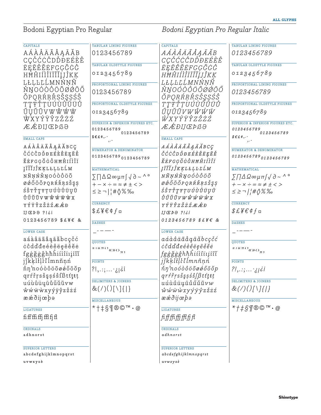Bodoni Egyptian Pro Regular *Bodoni Egyptian Pro Regular Italic*

| <b>CAPITALS</b>                            | TABULAR LINING FIGURES                                                                          | <b>CAPITALS</b>                                                                                                            | <b>TABULAR LINING FIGURES</b>                                          |
|--------------------------------------------|-------------------------------------------------------------------------------------------------|----------------------------------------------------------------------------------------------------------------------------|------------------------------------------------------------------------|
| AÁÀÂÄÃÅĄĀĂB                                | 0123456789                                                                                      | AÁÀÀÄÃÅAĀĂB                                                                                                                | 0123456789                                                             |
| CÇČĆĊĈDĎĐEÉÈÊ                              | TABULAR OLDSTYLE FIGURES                                                                        | CÇČĆĊĈDĎĐEÉÈÊ                                                                                                              | TABULAR OLDSTYLE FIGURES                                               |
| <b>ËEEĚĔEFGÇĞĠĜ</b>                        | 0123456789                                                                                      | ËEĒĚĔĖFGÇĞĠĜ                                                                                                               | 0123456789                                                             |
| HĦĤIÍÌÎĨĨĬIJĴKK                            |                                                                                                 | HĦĤIÍÌĨĨĨĬIJĴKK                                                                                                            |                                                                        |
| LŁĻĿĽĹMNŃŅÑ                                | PROPORTIONAL LINING FIGURES                                                                     | <i>LŁLĿĽĹMNŃNÑ</i>                                                                                                         | PROPORTIONAL LINING FIGURES                                            |
| ŇŊOÓÒÔÖÕØØŌŐ                               | 0123456789                                                                                      | ŇŊOÓÒÔÖÕØØŌŐ                                                                                                               | 0123456789                                                             |
| ŎPQRŔŖŘSŠŞSŚŜ                              |                                                                                                 | ŎPQRŔŖŘSŠŞŞŚŜ                                                                                                              |                                                                        |
| TŢŦŤŢUÚÙŮŪÜŬ                               | PROPORTIONAL OLDSTYLE FIGURES                                                                   | <i>TTŦŤTUÚÙŨŪŬŬ</i>                                                                                                        | PROPORTIONAL OLDSTYLE FIGURES                                          |
| ŰŲŬŨVWŴŴŴ                                  | 0123456789                                                                                      | ŰŲŬŨVWŴŴŴ                                                                                                                  | 0123456789                                                             |
| WXYÝŸŶZŽŻŹ                                 | SUPERIOR & INFERIOR FIGURES ETC.                                                                | WXYÝŸŶZŽŻŹ                                                                                                                 | SUPERIOR & INFERIOR FIGURES ETC.                                       |
| <b>ÆÉDIJ</b> EÞßƏ                          | 0123456789                                                                                      | ÆÆÐIJŒÞßƏ                                                                                                                  | <i>0123456789</i>                                                      |
| <b>SMALL CAPS</b>                          | 0123456789<br>$$E E \phi$ ,.-                                                                   | <b>SMALL CAPS</b>                                                                                                          | 0123456789<br>$$Ef \phi$ ,.-                                           |
|                                            |                                                                                                 |                                                                                                                            |                                                                        |
| AÁÀÂÄÃÅĄĀĂBCÇ<br>ČĆĊĈDĎĐEÉÈÊËĘĒĚ           | <b>NUMERATOR &amp; DENOMINATOR</b>                                                              | AÁÀÀÄÃÅĄĀĂBCÇ                                                                                                              | <b>NUMERATOR &amp; DENOMINATOR</b>                                     |
|                                            | 0123456789 0123456789                                                                           | <i>ČĆĊĈDĎĐEÉÈÊËĘĒĚ</i>                                                                                                     | 0123456789 0123456789                                                  |
| ĔĖFGÇĞĠĜHĦĤIÍÌÎÏ<br><b>JĪĨĬJĴKĶLŁĻĿĽĹM</b> |                                                                                                 | ĔĖFGÇĞĠĜHĦĤIÍÌÎÏ                                                                                                           |                                                                        |
|                                            | <b>MATHEMATICAL</b>                                                                             | JĪĨĬJĴKĶLŁĻĿĽĹM                                                                                                            | <b>MATHEMATICAL</b>                                                    |
| NÑŅŃŇŊOÓÒÔÖÕ                               | $\Sigma \cap \Delta \Omega$ $\infty$ $\mu \pi$ $\int \sqrt{d} \sim \Delta$ $\circ$              | NÑŅŃŇŊOÓÒÔÖÕ                                                                                                               | $\sum \prod \Delta \Omega \infty \mu \pi \int \sqrt{d} \sim \Lambda$ ° |
| ØÓŐŌŎPQRŔŘŖSŠŞŞ                            | $+-x \div = \approx \neq \pm \lt$                                                               | Ø Ő Ő Ō Ŏ P Q R Ŕ Ř Ŗ S Š Ş Ş                                                                                              | $+-x \div = z \neq \pm \lt$                                            |
| ŚŜTŤŢŦŢUÚÙÛÜŲŪ<br>Ů Ű Ŭ Ũ V W Ŵ Ŵ Ŵ Ŵ X    | $\leq \geq -\left  \frac{1}{2} \# \left\langle \right\rangle \right\rangle \right  \leq \infty$ | ŚŜTŤŢŦŢUÚÙÛÜŲŪ<br>$\mathring{U}\mathring{U}\mathring{U}\mathring{U}V$ $W$ $\mathring{W}$ $\mathring{W}$ $\mathring{W}$ $X$ | $\leq \geq \neg$   $\neq$ $\Diamond$ % ‰                               |
| <b>YÝŸŶZŽŻŹÆÆĐ</b>                         | <b>CURRENCY</b>                                                                                 | <i>YÝŸŶZŽŻŹÆÆÐ</i>                                                                                                         | <b>CURRENCY</b>                                                        |
|                                            | $$E$ ¥€¢ $f$ ¤                                                                                  |                                                                                                                            | $$E$ ¥ $E$ ¢f¤                                                         |
| IJ <b>EP</b> <sub>9</sub> ?!¿i             |                                                                                                 | $IJ$ $E$ $P$ $\theta$ $?$ ! $i$ i                                                                                          |                                                                        |
| 0123456789 \$£¥€ &                         | <b>DASHES</b>                                                                                   | $0123456789$ \$£¥€ &                                                                                                       | <b>DASHES</b>                                                          |
| <b>LOWER CASE</b>                          |                                                                                                 | <b>LOWER CASE</b>                                                                                                          |                                                                        |
| aáàâäãåaāăbcçčć                            |                                                                                                 | aáàâäãåaāăbcçčć                                                                                                            |                                                                        |
| ccdddeéeeeeeee                             | QUOTES                                                                                          | ccdd'deéèéëeēěěe                                                                                                           | <b>QUOTES</b>                                                          |
| fgģğġĝhħĥiíìîiıįīĩĭ                        | $\frac{1116000}{8000}$                                                                          | fgģğgĝhħĥiíìîiijīĩĭ                                                                                                        | $\frac{n+\alpha\mathcal{D}(t)}{\ll \mathcal{D}(t)}$                    |
| jĵkķlłļŀľlmnñņń                            | <b>POINTS</b>                                                                                   | jîkklillilmnñnn                                                                                                            | <b>POINTS</b>                                                          |
| ňŋ'noóòôöõøǿőōŏp                           | $?!,::;:_i`$                                                                                    | ňn'noóòôöõøøőōŏp                                                                                                           | $?!, \ldots j j \in I$                                                 |
| qrŕřŗsšşsśŝfßtťţŧț                         |                                                                                                 | $qr$ ŕ ř $rs$ š ş s ś ŝ f $\beta$ t ť $t$ $t$ $t$                                                                          |                                                                        |
| uúùûüyūůűŭũvw                              | <b>DELIMITERS &amp; JOINERS</b>                                                                 | uúùûüyūůűŭŭvw                                                                                                              | <b>DELIMITERS &amp; JOINERS</b>                                        |
| wwwwxyýÿŷzžżź                              | $\&(7)(15)$                                                                                     | $\hat{w}$ $\hat{w}$ $\hat{w}$ $\hat{x}$ $\hat{y}$ $\hat{y}$ $\hat{y}$ $\hat{z}$ $\hat{z}$ $\hat{z}$                        | $\&(7)(1)[1][1]$                                                       |
| ææðijœþə                                   |                                                                                                 | ææðijœþə                                                                                                                   |                                                                        |
|                                            | <b>MISCELLANEOUS</b>                                                                            |                                                                                                                            | <b>MISCELLANEOUS</b>                                                   |
| <b>LIGATURES</b>                           | $*+1$ §¶®©™•@                                                                                   | <b>LIGATURES</b>                                                                                                           | $* + \frac{1}{2}$ S¶®©™•@                                              |
| $\operatorname{fifffiffffffff}$            |                                                                                                 | fifffifffffffff                                                                                                            |                                                                        |
|                                            |                                                                                                 |                                                                                                                            |                                                                        |
| ORDINALS<br>adhnorst                       |                                                                                                 | <b>ORDINALS</b><br>adhnorst                                                                                                |                                                                        |
|                                            |                                                                                                 |                                                                                                                            |                                                                        |
| <b>SUPERIOR LETTERS</b>                    |                                                                                                 | <b>SUPERIOR LETTERS</b>                                                                                                    |                                                                        |
| abcdefghijklmnopqrst                       |                                                                                                 | abcdefghijklmnopqrst                                                                                                       |                                                                        |
| uvwxyzè                                    |                                                                                                 |                                                                                                                            |                                                                        |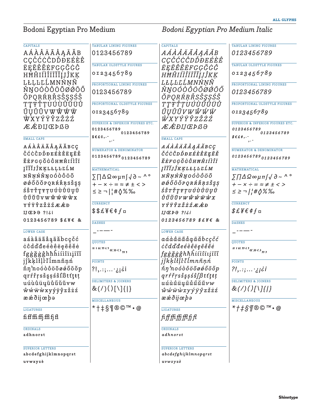Bodoni Egyptian Pro Medium *Bodoni Egyptian Pro Medium Italic*

| <b>CAPITALS</b>                     | TABULAR LINING FIGURES                                                     | <b>CAPITALS</b>                                                                                          | TABULAR LINING FIGURES                                                             |
|-------------------------------------|----------------------------------------------------------------------------|----------------------------------------------------------------------------------------------------------|------------------------------------------------------------------------------------|
| AÁÀÂÄÃÅĄĀĂB                         | 0123456789                                                                 | AÁÀÀÄÃÅĄĀĂB                                                                                              | 0123456789                                                                         |
| CÇČĆĊĈDĎĐEÉÈÊ                       |                                                                            | <i>CÇČĆĊĈDĎĐEÉÈÊ</i>                                                                                     |                                                                                    |
| ËEĒĚĔĖFGÇĞĠĜ                        | TABULAR OLDSTYLE FIGURES                                                   | ËEĒĚĔĖFGÇĞĠĜ                                                                                             | TABULAR OLDSTYLE FIGURES                                                           |
| HĦĤIÍÎÎĨĨĬIJĴKK                     | 0123456789                                                                 | HĦĤIÍÌÎĨĨĬIJĴKK                                                                                          | 0123456789                                                                         |
| LŁLĿĽĹMNŃNÑ                         |                                                                            | LŁLĿĽĹMNŃNÑ                                                                                              |                                                                                    |
| ŇŊOÓÒÔÖÕØØŌŐ                        | PROPORTIONAL LINING FIGURES                                                | ŇŊOÓÒÔÖÕØØŌŐ                                                                                             | PROPORTIONAL LINING FIGURES                                                        |
| ŎPQRŔŖŘSŠŞSŚŜ                       | 0123456789                                                                 | ŎPQRŔŖŘSŠŞŞŚŜ                                                                                            | 0123456789                                                                         |
| TŢŦŤŢUÚÙÛŪÜŬ                        | PROPORTIONAL OLDSTYLE FIGURES                                              | <i>ŦŢŦŤŢUÚÙÛŪÜŮ</i>                                                                                      | PROPORTIONAL OLDSTYLE FIGURES                                                      |
| ŰŲŬŨVWŴŴŴ                           | 0123456789                                                                 | ŰŲŬŨVWŴŴŴ                                                                                                | 0123456789                                                                         |
| WXYÝŸŶZŽŻŹ                          |                                                                            | <i>WXYÝŸŶZŽŻŹ</i>                                                                                        |                                                                                    |
| ÆÆÐIJŒÞßƏ                           | SUPERIOR & INFERIOR FIGURES ETC.                                           | ÆÆÐIJŒÞß∂                                                                                                | SUPERIOR & INFERIOR FIGURES ETC.                                                   |
|                                     | 0123456789<br>0123456789                                                   |                                                                                                          | <i><b>0123456789</b></i><br>0123456789                                             |
| <b>SMALL CAPS</b>                   | $$E E C$ .                                                                 | <b>SMALL CAPS</b>                                                                                        | $\texttt{\$} \texttt{\$} \texttt{\#} \texttt{\#} \texttt{\#} \texttt{\#} \cdots$   |
| AÁAAAAAAAAABCÇ                      |                                                                            | AÁÀÀÄÃÅĄĀĂBCÇ                                                                                            |                                                                                    |
| ČĆĊĈDĎĐEÉÈÊËĘĒĚ                     | <b>NUMERATOR &amp; DENOMINATOR</b>                                         | <i>ČĆĊĈDĎĐEÉÈÊËĘĒĚ</i>                                                                                   | <b>NUMERATOR &amp; DENOMINATOR</b>                                                 |
| <b>ĔĖFGĢĞĠĜHĦĤIÍÌÎÏ</b>             | 0123456789 0123456789                                                      | ĔĖFGĢĞĠĜHĦĤIÍÌÎÏ                                                                                         | 0123456789 0123456789                                                              |
| <b>ļĪĨĬJĴKĶLŁĻĿĽĹM</b>              | <b>MATHEMATICAL</b>                                                        | <i>ĮĪĨĬJĴKKLŁĻĿĽĹM</i>                                                                                   | <b>MATHEMATICAL</b>                                                                |
| NÑŅŃŇŊOÓÒÔÖÕ                        | $\Sigma \Pi \Delta \Omega \in \mu \pi \int \sqrt{\partial} \sim \Lambda$ ° | NÑŅŃŇŊOÓÒÔÖÕ                                                                                             | $\sum \prod \Delta \Omega \infty \mu \pi \int \sqrt{\partial \sim}$                |
| ØÓŐŌŎPQRŔŘŖSŠŞȘ                     | $+-x \div = z \neq \pm \lt$                                                | Ø Ő Ő Ō Ŏ P Q R Ŕ Ř Ŗ S Š Ş Ş                                                                            | $+-x \div = z \neq \pm \lt$                                                        |
| śŝrřŗrŗvúùûüyū                      | $\leq \geq -\lfloor \frac{1}{2} \# \sqrt[3]{8} \%$                         | ŚŜTŤŢŦŢUÚÙÛÜŲŪ                                                                                           | $\leq$ $\geq$ $\frac{1}{1}$ $\neq$ $\Diamond$ % %                                  |
| Ů Ű Ŭ Ũ V W Ŵ Ŵ Ŵ ẁ x               |                                                                            | $\mathring{U}\mathring{U}\mathring{U}\mathring{U}V$ $W$ $\mathring{W}$ $\mathring{W}$ $\mathring{W}$ $X$ |                                                                                    |
| <b>YÝŸŶZŽŻŹÆÆĐ</b>                  | <b>CURRENCY</b>                                                            | <i>YÝŸŶZŽŻŹÆÆĐ</i>                                                                                       | <b>CURRENCY</b>                                                                    |
| $IJ$ $E$ $D$ $\theta$ ?! $\delta$ i | $$$ \$£¥€¢ $f$ ¤                                                           | $IJ$ $E$ $P$ $\theta$ $?$ ! $i$ i                                                                        | $$E$ ¥ $$\epsilon$ ¢ $f$ ¤                                                         |
| 0123456789 \$£¥€ &                  | <b>DASHES</b>                                                              | $0123456789$ \$£¥€ &                                                                                     | <b>DASHES</b>                                                                      |
|                                     |                                                                            |                                                                                                          |                                                                                    |
| <b>LOWER CASE</b>                   |                                                                            | <b>LOWER CASE</b>                                                                                        |                                                                                    |
| aáàâäãåąāăbcçčć                     | <b>QUOTES</b>                                                              | aáàâäãåąāăbcçčć                                                                                          | <b>OUOTES</b>                                                                      |
| ccdddeéeeeeeee                      | 116222                                                                     | cc <sup>2</sup> dd'deéèêëeēěěe                                                                           | $\frac{\pi}{\pi}$ and $\alpha$ and $\alpha$ and $\alpha$ and $\alpha$ and $\alpha$ |
| fgģğģĝhħhiíìîiiįīĩĭ                 |                                                                            | fgģğģĝhħhiíìîïıįīĩĭ                                                                                      |                                                                                    |
| jîkklillilmnñnn                     | <b>POINTS</b>                                                              | jîkklillilmnñnn                                                                                          | <b>POINTS</b>                                                                      |
| ňn'noóòôööøøőōŏp                    | $?!,::;:_j$ ¿i                                                             | ňn'noóòôöõøøőōŏp                                                                                         | $?!,::;:_j$ i                                                                      |
| qrŕřŗsšşsśŝfßtťţŧţ                  | <b>DELIMITERS &amp; JOINERS</b>                                            | $grf\check{r}rs\check{s}ss\check{s}\hat{f}\beta t\check{t}\xi t\check{t}$                                | <b>DELIMITERS &amp; JOINERS</b>                                                    |
| uúùûüyūůűŭŭvw                       |                                                                            | uúùûüųūůűŭŭvw                                                                                            |                                                                                    |
| wwwwxyýÿŷzžżź                       | $\&(7)(15)$                                                                | wwwwxyýÿŷzžżź                                                                                            | $\&(7)(1)[1][1]$                                                                   |
| ææðijœþə                            | <b>MISCELLANEOUS</b>                                                       | ææðijœþə                                                                                                 | <b>MISCELLANEOUS</b>                                                               |
| <b>LIGATURES</b>                    | *†‡§¶®©™•@                                                                 | <b>LIGATURES</b>                                                                                         | * <i>†‡§¶</i> ®© <i>™•</i> @                                                       |
|                                     |                                                                            |                                                                                                          |                                                                                    |
| $\operatorname{fifffiffffff}$       |                                                                            | <i>fiffffffffffffff</i>                                                                                  |                                                                                    |
| <b>ORDINALS</b>                     |                                                                            | <b>ORDINALS</b>                                                                                          |                                                                                    |
| adhnorst                            |                                                                            | adhnorst                                                                                                 |                                                                                    |
|                                     |                                                                            |                                                                                                          |                                                                                    |
| <b>SUPERIOR LETTERS</b>             |                                                                            | <b>SUPERIOR LETTERS</b>                                                                                  |                                                                                    |
| abcdefghijklmnopqrst                |                                                                            | abcdefghijklmnopqrst                                                                                     |                                                                                    |
| uvwxyzè                             |                                                                            | uvwxyzè                                                                                                  |                                                                                    |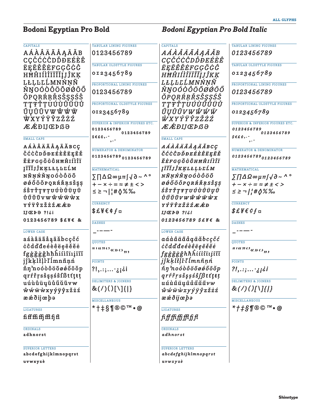**Bodoni Egyptian Pro Bold** *Bodoni Egyptian Pro Bold Italic*

**all glyphs**

| <b>CAPITALS</b>               | <b>TABULAR LINING FIGURES</b>               | <b>CAPITALS</b>                                                                                    | <b>TABULAR LINING FIGURES</b>                                           |
|-------------------------------|---------------------------------------------|----------------------------------------------------------------------------------------------------|-------------------------------------------------------------------------|
| AÁÀÂÄÃÅĄĀĂB                   | 0123456789                                  | AÁÀÂÄÃÅĄĀĂB                                                                                        | 0123456789                                                              |
| CÇČĆĊĈDĎĐEÉÈÊ                 | TABULAR OLDSTYLE FIGURES                    | CÇČĆĊĈDĎĐEÉÈÊ                                                                                      | <b>TABULAR OLDSTYLE FIGURES</b>                                         |
| <b>ËEĒĚĔĖFGÇĞĠĜ</b>           | 0123456789                                  | ËEĒĚĔĖFGĢĞĠĜ                                                                                       | 0123456789                                                              |
| HĦĤIÍÎÎĨĨĬIJĴKĶ               |                                             | HĦĤIÍÎÎĨĨĬIJĴKĶ                                                                                    |                                                                         |
| LŁĻĿĽĹMNŃŅÑ                   | PROPORTIONAL LINING FIGURES                 | LŁLĿĽĹMNŃNÑ                                                                                        | PROPORTIONAL LINING FIGURES                                             |
| ŇŊOÓÒÔÖÕØØŌŐ                  | 0123456789                                  | ŇŊOÓÒÔÖÕØØŌŐ                                                                                       | 0123456789                                                              |
| ŎPQRŔRŘSŠŞSŚŜ                 |                                             | ŎPQRŔŖŘSŠŞŞŚŜ                                                                                      |                                                                         |
| TŢŦŤŢUÚÙÛŪÜŬ                  | PROPORTIONAL OLDSTYLE FIGURES               | TŢŦŤŢUÚÙÛŪÜŮ                                                                                       | PROPORTIONAL OLDSTYLE FIGURES                                           |
| ŰŨŬŨVWŴŴŴ                     | 0123456789                                  | ŰŲŬŨVWŴŴŴ                                                                                          | 0123456789                                                              |
| <b>WXYÝŸŶZŽŻŹ</b>             | SUPERIOR & INFERIOR FIGURES ETC.            | WXYÝŸŶZŽŻŹ                                                                                         | SUPERIOR & INFERIOR FIGURES ETC.                                        |
| <b>ÆÆÐIJŒÞ</b> ßƏ             | 0123456789                                  | ÆÆÐIJŒÞß∂                                                                                          | <i><b>0123456789</b></i>                                                |
|                               | 0123456789<br>$$E E$ $C$ ,.-                |                                                                                                    | 0123456789<br>$\mathcal{S} \epsilon \epsilon \phi$ ,.-                  |
| <b>SMALL CAPS</b>             |                                             | <b>SMALL CAPS</b>                                                                                  |                                                                         |
| AÁÀÂÄÃÅĄĀĂBCÇ                 | <b>NUMERATOR &amp; DENOMINATOR</b>          | AÁAAÄÄAAAĀBCÇ                                                                                      | <b>NUMERATOR &amp; DENOMINATOR</b>                                      |
| ČĆĊĈDĎĐEÉÈÊËĘĒĚ               | 0123456789 0123456789                       | <i>ČĆĊĈDĎĐEÉÈÊËĘĒĚ</i>                                                                             | 01234567890123456789                                                    |
| <b>ĔĖFGÇĞĠĜHĦĤIÍÌÎÏ</b>       |                                             | ĔĖFGĢĞĠĜHĦĤIÍÌÎÏ                                                                                   |                                                                         |
| ĮĪĨĬJĴKĶLŁĻĿĽĹM               | <b>MATHEMATICAL</b>                         | <i>ĮĪĨĬJĴKĶLŁĻĿĽĹM</i>                                                                             | <b>MATHEMATICAL</b>                                                     |
| NÑŅŃŇŊOÓÒÔÖÕ                  | $\Sigma \Pi \Delta \Omega \in \mathfrak{p}$ | NÑŅŃŇŊOÓÒÔÖÕ                                                                                       | $\sum \prod \Delta \Omega \in \mu \pi / \sqrt{\partial} \sim \Lambda$ ° |
| Ø Ő Ő Ō Ŏ P Q R Ŕ Ř Ŗ S Š Ş Ş | $+-x \div = \approx \neq \pm \lt$           | ØØŐŌŎPQRŔŘŖSŠŞŞ                                                                                    | $+-x \div = z \neq \pm \lt$                                             |
| ŚŜTŤŢŦŢUÚÙÛÜŲŪ                | ≤≥¬ ¦#≬%‰                                   | ŚŜTŤŢŦŢUÚÙÛÜŲŪ                                                                                     | $\leq$ $\geq$ $\sim$ $\frac{1}{1}$ $\neq$ $\Diamond$ % %                |
| Ů Ű Ŭ Ũ V W Ŵ Ŵ Ŵ Ŵ X         |                                             | $\mathring{U} \mathring{U} \mathring{U} \mathring{U} V W \mathring{W} \mathring{W} \mathring{W} X$ |                                                                         |
| <b>YÝŸŶZŽŻŹÆÆĐ</b>            | <b>CURRENCY</b>                             | <i>YÝŸŶZŽŻŹÆÆĐ</i>                                                                                 | <b>CURRENCY</b>                                                         |
| IJCPO ?!¿i                    | $$E$ ¥€¢ $f$ ¤                              | $IJE$ $P0$ ?! $i$                                                                                  | $$E$ ¥ $$$ ¢f¤                                                          |
| 0123456789 \$£\€ &            | <b>DASHES</b>                               | $0123456789$ \$£¥€ &                                                                               | <b>DASHES</b>                                                           |
| <b>LOWER CASE</b>             |                                             | <b>LOWER CASE</b>                                                                                  |                                                                         |
| aáàâäãåąāăbcçčć               |                                             | aáàâäãåąāăbcçčć                                                                                    |                                                                         |
| ccdddeéeeeeeee                | <b>QUOTES</b>                               | <i>ċĉdďđeéèêëęēěĕė</i>                                                                             | <b>OUOTES</b>                                                           |
| fgģğģĝhħhiíìîïıįīĩĭ           | $116220$ $825$                              | fggggghhhiiiiiiiii                                                                                 | $\frac{\pi}{\pi}$ and $\frac{\pi}{\pi}$ and $\frac{\pi}{\pi}$           |
| jĵkķlłļŀľĺmnñņń               | <b>POINTS</b>                               | jîkklill limnñnń                                                                                   | <b>POINTS</b>                                                           |
| ňŋ'noóòôöoøøőōŏp              |                                             | ňn noódôööøøőōŏp                                                                                   |                                                                         |
| qrŕřŗsšşșśŝfßtťţŧț            | $?!,::;:_j$ ii                              | $qr \check{r} \check{r} s \check{s} s \check{s} \check{s} f \beta t \check{t} t \check{t} t$       | $?!,$ .:; $:$ ;;¿i                                                      |
| uúùûüyūůűŭũvw                 | <b>DELIMITERS &amp; JOINERS</b>             | uúùûüųūůűŭŭvw                                                                                      | DELIMITERS & JOINERS                                                    |
| ŵŵẅẁxyýÿŷzžżź                 | $\&(7)(15)$                                 | $\hat{w}$ $\hat{w}$ $\hat{w}$ $\hat{w}$ $x$ $y$ $\hat{y}$ $\hat{y}$ $z$ $\hat{z}$ $\hat{z}$        | $\&(7)(1)[1][1]$                                                        |
| ææðijœþə                      |                                             | ææðijœþə                                                                                           |                                                                         |
|                               | <b>MISCELLANEOUS</b>                        |                                                                                                    | <b>MISCELLANEOUS</b>                                                    |
| <b>LIGATURES</b>              | *†‡§¶®©™•@                                  | <b>LIGATURES</b>                                                                                   | *#\$¶®©™•@                                                              |
|                               |                                             | <i>fiffffffffffff</i>                                                                              |                                                                         |
| <b>ORDINALS</b>               |                                             | <b>ORDINALS</b>                                                                                    |                                                                         |
| adhnorst                      |                                             | adhnorst                                                                                           |                                                                         |
| <b>SUPERIOR LETTERS</b>       |                                             | <b>SUPERIOR LETTERS</b>                                                                            |                                                                         |
| abcdefghijklmnopqrst          |                                             | abcdefghijklmnopqrst                                                                               |                                                                         |
| uvwxyzè                       |                                             | uvwxyzè                                                                                            |                                                                         |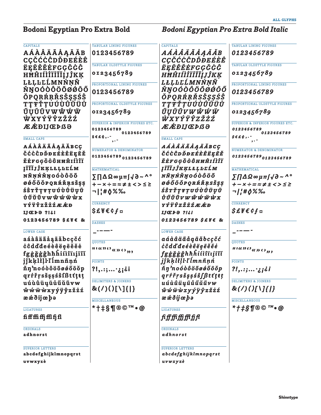**Bodoni Egyptian Pro Extra Bold** *Bodoni Egyptian Pro Extra Bold Italic*

| <b>CAPITALS</b>                    | TABULAR LINING FIGURES                                                            | <b>CAPITALS</b>                                                                                                                                                                                                                        | TABULAR LINING FIGURES                                                      |
|------------------------------------|-----------------------------------------------------------------------------------|----------------------------------------------------------------------------------------------------------------------------------------------------------------------------------------------------------------------------------------|-----------------------------------------------------------------------------|
| AÁÀÂÄÃÅĄĀĂB                        | 0123456789                                                                        | AÁÀÂÄÃÅĄĀĂB                                                                                                                                                                                                                            | 0123456789                                                                  |
| <b>CÇČĆĊĈDĎĐEÉÈÊ</b>               | TABULAR OLDSTYLE FIGURES                                                          | <i>CÇČĆĊĈDĎĐEÉÈÊ</i>                                                                                                                                                                                                                   | TABULAR OLDSTYLE FIGURES                                                    |
| <b>ËEËEËEFGÇĞĠĜ</b>                |                                                                                   | ËĘĒĚĔĖFGĢĞĠĜ                                                                                                                                                                                                                           |                                                                             |
| HHĤIÍÌÎÏĨĬIJĴKĶ                    | 0123456789                                                                        | HĦĤIÍÌÎÏĨĬĮJĴKĶ                                                                                                                                                                                                                        | 0123456789                                                                  |
| LŁĻĿĽĹMNŃŅÑ                        | PROPORTIONAL LINING FIGURES                                                       | LŁLĿĽĹMNŃNÑ                                                                                                                                                                                                                            | PROPORTIONAL LINING FIGURES                                                 |
| ŇŊOÓÒÔÖÕØØŌŐ                       | 0123456789                                                                        | ŇŊOÓÒÔÖÕØØŌŐ                                                                                                                                                                                                                           | 0123456789                                                                  |
| <b>ŎPORŔRŘSŠSSŚŜ</b>               |                                                                                   | ŎPORŔŖŘSŠŞŞŚŜ                                                                                                                                                                                                                          |                                                                             |
| <b>TTŦŤŢUÚÙÛŪÜŬ</b>                | PROPORTIONAL OLDSTYLE FIGURES                                                     | TŢŦŤŢUÚÙÛŪÜŬ                                                                                                                                                                                                                           | PROPORTIONAL OLDSTYLE FIGURES                                               |
| ŰŨŬŨVWŴŴŴ                          | 0123456789                                                                        | ŰŲŬŨVWŴŴŴ                                                                                                                                                                                                                              | 0123456789                                                                  |
| <b>WXYÝŸŶZŽŻŹ</b>                  |                                                                                   | <i>WXYÝŸŶZŽŻŹ</i>                                                                                                                                                                                                                      |                                                                             |
| <b>ÆÆÐIJŒÞßƏ</b>                   | SUPERIOR & INFERIOR FIGURES ETC.                                                  | ÆÆÐIJŒÞß∂                                                                                                                                                                                                                              | SUPERIOR & INFERIOR FIGURES ETC.                                            |
|                                    | 0123456789<br>0123456789                                                          |                                                                                                                                                                                                                                        | 0123456789<br>0123456789                                                    |
| <b>SMALL CAPS</b>                  | $$E6, -$                                                                          | <b>SMALL CAPS</b>                                                                                                                                                                                                                      | $$E E \phi$ ,.                                                              |
| AÁAÂÄÃÅĄĀĂBCÇ                      | <b>NUMERATOR &amp; DENOMINATOR</b>                                                | AÁÀÂÄÃÅĄĀĂBCÇ                                                                                                                                                                                                                          | <b>NUMERATOR &amp; DENOMINATOR</b>                                          |
| ČĆĊĈDĎĐEÉÈÊËĘĒĚ                    | 0123456789 0123456789                                                             | ČĆĊĈDĎĐEÉÈÊËĘĒĚ                                                                                                                                                                                                                        | 01234567890123456789                                                        |
| <b>ĔĖFGĢĞĠĜHĦĤIÍÎÏ</b>             |                                                                                   | ĔĖFGĢĞĠĜHĦĤIÍÌÎÏ                                                                                                                                                                                                                       |                                                                             |
| <b>JĪĨĬJĴKĶLŁĻĿĽĹM</b>             | <b>MATHEMATICAL</b>                                                               | ĮĪĨĬJĴKĶLŁĻĿĽĹM                                                                                                                                                                                                                        | <b>MATHEMATICAL</b>                                                         |
| NÑŅŃŇŊOÓÒÔÖŐ                       | $\Sigma \Pi \Delta \Omega \in \mathfrak{p}$ uns $\Lambda$                         | ΝÑŅŃŇŊOÓÒÔÖÕ                                                                                                                                                                                                                           | $\sum \prod \Delta \Omega \approx \mu \pi / \sqrt{\partial} \sim \Lambda$ ° |
| ØØŐŌŎPQRŔŘŖSŠŞŞ                    | $+-x \div = z \neq \pm \leq > \leq \geq$                                          | ØØŐÕŎPQRŔŘŖSŠŞŞ                                                                                                                                                                                                                        | $+-x \div = z \neq \pm \langle > \leq \geq$                                 |
| śŝrřŗrŗvúùûüųū                     | ¬ ¦#≬%‰                                                                           | ŚŜTŤŢŦŢUÚÙÛÜŲŪ                                                                                                                                                                                                                         | <b>7//#0%%</b>                                                              |
| Ů Ű Ŭ Ũ V W Ŵ Ŵ Ŵ ẁ x              |                                                                                   | Ů Ű Ŭ Ũ v w ŵ Ŵ ẅ ẁ x                                                                                                                                                                                                                  |                                                                             |
| <b>YÝŸŶZŽŻŹÆÆĐ</b>                 | <b>CURRENCY</b>                                                                   | YÝŸŶZŽŻŹÆÆĐ                                                                                                                                                                                                                            | <b>CURRENCY</b>                                                             |
| $IJ$ <b><i>EPP</i></b> ?! $\delta$ | $$$ £¥€¢ $f$ ¤                                                                    | $IJ\mathcal{F}$ <i>b</i> $\theta$ ?! $i$                                                                                                                                                                                               | $$$ £¥€¢f¤                                                                  |
| 0123456789 \$£\{&                  | <b>DASHES</b>                                                                     | 0123456789 \$£¥€ &                                                                                                                                                                                                                     | <b>DASHES</b>                                                               |
|                                    |                                                                                   |                                                                                                                                                                                                                                        |                                                                             |
| <b>LOWER CASE</b>                  |                                                                                   | <b>LOWER CASE</b>                                                                                                                                                                                                                      |                                                                             |
| aáàâäãåąāăbcçčć                    | <b>QUOTES</b>                                                                     | aáàâäãåąāăbcçčć                                                                                                                                                                                                                        | <b>QUOTES</b>                                                               |
| ccdddeéeeeeeee                     | $\mathbb{H}(\mathcal{CDO}_{\mathcal{R}}) \rightarrow \mathcal{CD}_{\mathfrak{H}}$ | <i>ċĉdďdeéèêëęēěĕė</i>                                                                                                                                                                                                                 | $\frac{\pi}{\pi}$ and $\frac{\pi}{\pi}$                                     |
| fggggghhhifiiiiiii                 |                                                                                   | fggggghhhititinjin                                                                                                                                                                                                                     |                                                                             |
| jîkklilll'İmnñnn                   | <b>POINTS</b>                                                                     | jĵkķlłļl·ľĺmnñņń                                                                                                                                                                                                                       | <b>POINTS</b>                                                               |
| ňŋ'noóòôööøøőōŏp                   | $?!,$ .:; $:$ ;i¿i                                                                | ň ŋ 'n o ó ò ô ö ö ø ǿ ő ö ö p                                                                                                                                                                                                         | $?!, ::;  ;$ ii                                                             |
| qrŕřŗsšşșśŝfßtťțŧț                 | DELIMITERS & JOINERS                                                              | $qrf\check{r}rs\check{s}s\check{s}\hat{s}f\beta t\check{t}t\check{t}t$                                                                                                                                                                 | DELIMITERS & JOINERS                                                        |
| uúùûüyūůűŭũvw                      |                                                                                   | uúùûüyūůűŭŭvw                                                                                                                                                                                                                          |                                                                             |
| ŵŵŵẁxyýÿŷzžżź                      | $\&(7)(15)$                                                                       | $\hat{\boldsymbol{\psi}}$ $\hat{\boldsymbol{\psi}}$ $\hat{\boldsymbol{\psi}}$ $\boldsymbol{x}$ $\boldsymbol{y}$ $\hat{\boldsymbol{y}}$ $\hat{\boldsymbol{y}}$ $\hat{\boldsymbol{z}}$ $\boldsymbol{\check{z}}$ $\boldsymbol{\check{z}}$ | $\&(7)()[1][1]$                                                             |
| ææðijæþə                           | <b>MISCELLANEOUS</b>                                                              | ææðijæþə                                                                                                                                                                                                                               | <b>MISCELLANEOUS</b>                                                        |
| <b>LIGATURES</b>                   | <b>*†‡§¶®©™•@</b>                                                                 | <b>LIGATURES</b>                                                                                                                                                                                                                       | *#\$¶®©™•@                                                                  |
| fiffffiffffffffff                  |                                                                                   |                                                                                                                                                                                                                                        |                                                                             |
|                                    |                                                                                   | <i>fifffiffiffifi</i>                                                                                                                                                                                                                  |                                                                             |
| <b>ORDINALS</b>                    |                                                                                   | <b>ORDINALS</b>                                                                                                                                                                                                                        |                                                                             |
| adhnorst                           |                                                                                   | adhnorst                                                                                                                                                                                                                               |                                                                             |
| <b>SUPERIOR LETTERS</b>            |                                                                                   | <b>SUPERIOR LETTERS</b>                                                                                                                                                                                                                |                                                                             |
| abcdefghijklmnopqrst               |                                                                                   | abcdefghijklmnopqrst                                                                                                                                                                                                                   |                                                                             |
| uvwxyzè                            |                                                                                   | uvwxyzè                                                                                                                                                                                                                                |                                                                             |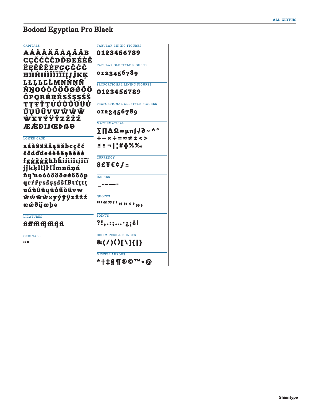# Bodoni Egyptian Pro Black

| <b>TABULAR LINING FIGURES</b>         |
|---------------------------------------|
| 0123456789                            |
|                                       |
| <b>TABULAR OLDSTYLE FIGURES</b>       |
| 0123456789                            |
|                                       |
| PROPORTIONAL LINING FIGURES           |
| 0123456789                            |
|                                       |
| PROPORTIONAL OLDSTYLE FIGURES         |
| 0123456789                            |
|                                       |
| MATHEMATICAL                          |
| ΣΠΔΩ∞μπ∫√∂∼^°                         |
| $+-x \div = \approx \neq \pm \lt{} >$ |
| ≤≥¬ ¦#♦%‰                             |
|                                       |
| <b>CURRENCY</b>                       |
| \$£¥€¢∫¤                              |
| <b>DASHES</b>                         |
|                                       |
|                                       |
| <b>QUOTES</b>                         |
|                                       |
| 11690xxx7,                            |
| <b>POINTS</b>                         |
| ?!,.:;·¿¡¿i                           |
| <b>DELIMITERS &amp; JOINERS</b>       |
| &(/)()[\]{ }                          |
| <b>MISCELLANEOUS</b>                  |
| *†‡§¶®©™∙@                            |
|                                       |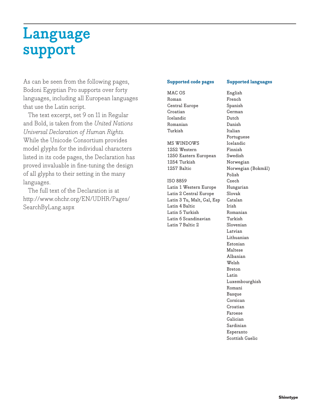# **Language support**

As can be seen from the following pages, Bodoni Egyptian Pro supports over forty languages, including all European languages that use the Latin script.

The text excerpt, set 9 on 11 in Regular and Bold, is taken from the *United Nations Universal Declaration of Human Rights.*  While the Unicode Consortium provides model glyphs for the individual characters listed in its code pages, the Declaration has proved invaluable in fine-tuning the design of all glyphs to their setting in the many languages.

The full text of the Declaration is at http://www.ohchr.org/EN/UDHR/Pages/ SearchByLang.aspx

# **Supported code pages Supported languages**

MAC OS Roman Central Europe Croatian Icelandic Romanian Turkish

MS WINDOWS 1252 Western 1250 Eastern European 1254 Turkish 1257 Baltic

ISO 8859 Latin 1 Western Europe Latin 2 Central Europe Latin 3 Tu, Malt, Gal, Esp Latin 4 Baltic Latin 5 Turkish Latin 6 Scandinavian Latin 7 Baltic 2

English French Spanish German Dutch Danish Italian Portuguese Icelandic Finnish Swedish Norwegian Norwegian (Bokmål) Polish Czech Hungarian Slovak Catalan Irish Romanian Turkish Slovenian Latvian Lithuanian Estonian Maltese Albanian Welsh Breton Latin Luxembourghish Romani Basque Corsican Croatian Faroese Galician Sardinian Esperanto Scottish Gaelic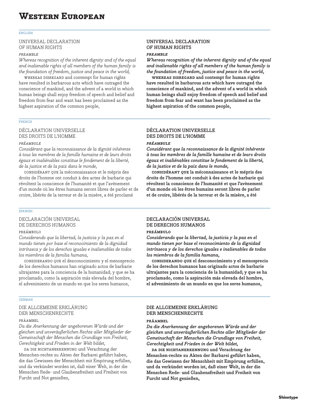### ENGLISH

# UNIVERSAL DECLARATION OF HUMAN RIGHTS

### *preamble*

*Whereas recognition of the inherent dignity and of the equal and inalienable rights of all members of the human family is the foundation of freedom, justice and peace in the world,*

whereas disregard and contempt for human rights have resulted in barbarous acts which have outraged the conscience of mankind, and the advent of a world in which human beings shall enjoy freedom of speech and belief and freedom from fear and want has been proclaimed as the highest aspiration of the common people,

# FRENCH

# DÉCLARATION UNIVERSELLE DES DROITS DE L'HOMME

# *préambule*

*Considérant que la reconnaissance de la dignité inhérente à tous les membres de la famille humaine et de leurs droits égaux et inaliénables constitue le fondement de la liberté, de la justice et de la paix dans le monde,*

considérant que la méconnaissance et le mépris des droits de l'homme ont conduit à des actes de barbarie qui révoltent la conscience de l'humanité et que l'avènement d'un monde où les êtres humains seront libres de parler et de croire, libérés de la terreur et de la misère, a été proclamé

# SPANISH

# DECLARACIÓN UNIVERSAL DE DERECHOS HUMANOS

## preámbulo

*Considerando que la libertad, la justicia y la paz en el mundo tienen por base el reconocimiento de la dignidad intrínseca y de los derechos iguales e inalienables de todos los miembros de la familia humana,*

considerando que el desconocimiento y el menosprecio de los derechos humanos han originado actos de barbarie ultrajantes para la conciencia de la humanidad; y que se ha proclamado, como la aspiración más elevada del hombre, el advenimiento de un mundo en que los seres humanos,

### GERMAN

# DIE ALLGEMEINE ERKLÄRUNG DER MENSCHENRECHTE

### PRÄAMBEL

*Da die Anerkennung der angeborenen Würde und der gleichen und unveräußerlichen Rechte aller Mitglieder der Gemeinschaft der Menschen die Grundlage von Freiheit, Gerechtigkeit und Frieden in der Welt bildet,*

da die nichtanerkennung und Verachtung der Menschen-rechte zu Akten der Barbarei geführt haben, die das Gewissen der Menschheit mit Empörung erfüllen, und da verkündet worden ist, daß einer Welt, in der die Menschen Rede- und Glaubensfreiheit und Freiheit von Furcht und Not genießen,

# **UNIVERSAL DECLARATION OF HUMAN RIGHTS**

# *preamble*

*Whereas recognition of the inherent dignity and of the equal and inalienable rights of all members of the human family is the foundation of freedom, justice and peace in the world,*

**whereas disregard and contempt for human rights have resulted in barbarous acts which have outraged the conscience of mankind, and the advent of a world in which human beings shall enjoy freedom of speech and belief and freedom from fear and want has been proclaimed as the highest aspiration of the common people,**

# **DÉCLARATION UNIVERSELLE DES DROITS DE L'HOMME**

# *préambule*

*Considérant que la reconnaissance de la dignité inhérente à tous les membres de la famille humaine et de leurs droits égaux et inaliénables constitue le fondement de la liberté, de la justice et de la paix dans le monde,*

**considérant que la méconnaissance et le mépris des droits de l'homme ont conduit à des actes de barbarie qui révoltent la conscience de l'humanité et que l'avènement d'un monde où les êtres humains seront libres de parler et de croire, libérés de la terreur et de la misère, a été** 

# **DECLARACIÓN UNIVERSAL DE DERECHOS HUMANOS**

## **preámbulo**

*Considerando que la libertad, la justicia y la paz en el mundo tienen por base el reconocimiento de la dignidad intrínseca y de los derechos iguales e inalienables de todos los miembros de la familia humana,*

**considerando que el desconocimiento y el menosprecio de los derechos humanos han originado actos de barbarie ultrajantes para la conciencia de la humanidad; y que se ha proclamado, como la aspiración más elevada del hombre, el advenimiento de un mundo en que los seres humanos,** 

# **DIE ALLGEMEINE ERKLÄRUNG DER MENSCHENRECHTE**

## **präambel**

*Da die Anerkennung der angeborenen Würde und der gleichen und unveräußerlichen Rechte aller Mitglieder der Gemeinschaft der Menschen die Grundlage von Freiheit, Gerechtigkeit und Frieden in der Welt bildet,*

**da die nichtanerkennung und Verachtung der Menschen-rechte zu Akten der Barbarei geführt haben, die das Gewissen der Menschheit mit Empörung erfüllen, und da verkündet worden ist, daß einer Welt, in der die Menschen Rede- und Glaubensfreiheit und Freiheit von Furcht und Not genießen,**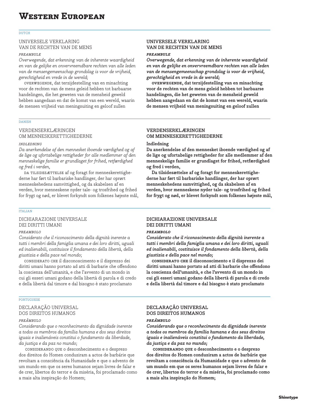### DUTCH

# UNIVERSELE VERKLARING VAN DE RECHTEN VAN DE MENS

## *preambule*

*Overwegende, dat erkenning van de inherente waardigheid en van de gelijke en onvervreemdbare rechten van alle leden van de mensengemeenschap grondslag is voor de vrijheid, gerechtigheid en vrede in de wereld;*

overwegende, dat terzijdestelling van en minachting voor de rechten van de mens geleid hebben tot barbaarse handelingen, die het geweten van de mensheid geweld hebben aangedaan en dat de komst van een wereld, waarin de mensen vrijheid van meningsuiting en geloof zullen

# DANISH

# VERDENSERKLÆRINGEN OM MENNESKERETTIGHEDERNE

# *indledning*

*Da anerkendelse af den mennesket iboende værdighed og af de lige og ufortabelige rettigheder for alle medlemmer af den menneskelige familie er grundlaget for frihed, retfærdighed og fred i verden,*

DA TILSIDESÆTTELSE af og foragt for menneskerettighederne har ført til barbariske handlinger, der har oprørt menneskehedens samvittighed, og da skabelsen af en verden, hvor menneskene nyder tale- og trosfrihed og frihed for frygt og nød, er blevet forkyndt som folkenes højeste mål,

# ITALIAN

# DICHIARAZIONE UNIVERSALE DEI DIRITTI UMANI

### *preambolo*

*Considerato che il riconoscimento della dignità inerente a tutti i membri della famiglia umana e dei loro diritti, uguali ed inalienabili, costituisce il fondamento della libertà, della giustizia e della pace nel mondo;*

considerato che il disconoscimento e il disprezzo dei diritti umani hanno portato ad atti di barbarie che offendono la coscienza dell'umanità, e che l'avvento di un mondo in cui gli esseri umani godano della libertà di parola e di credo e della libertà dal timore e dal bisogno è stato proclamato

### **PORTUGUESE**

# DECLARAÇÃO UNIVERSAL DOS DIREITOS HUMANOS

# *preâmbulo*

*Considerando que o reconhecimento da dignidade inerente a todos os membros da família humana e dos seus direitos iguais e inalienáveis constitui o fundamento da liberdade, da justiça e da paz no mundo;*

considerando que o desconhecimento e o desprezo dos direitos do Homen conduziram a actos de barbárie que revoltam a consciência da Humanidade e que o advento de um mundo em que os seres humanos sejam livres de falar e de crer, libertos do terror e da miséria, foi proclamado como a mais alta inspiração do Homem;

# **UNIVERSELE VERKLARING VAN DE RECHTEN VAN DE MENS**

# *preambule*

*Overwegende, dat erkenning van de inherente waardigheid en van de gelijke en onvervreemdbare rechten van alle leden van de mensengemeenschap grondslag is voor de vrijheid, gerechtigheid en vrede in de wereld;*

**overwegende, dat terzijdestelling van en minachting voor de rechten van de mens geleid hebben tot barbaarse handelingen, die het geweten van de mensheid geweld hebben aangedaan en dat de komst van een wereld, waarin de mensen vrijheid van meningsuiting en geloof zullen** 

# **VERDENSERKLÆRINGEN OM MENNESKERETTIGHEDERNE**

# **Indledning**

**Da anerkendelse af den mennesket iboende værdighed og af de lige og ufortabelige rettigheder for alle medlemmer af den menneskelige familie er grundlaget for frihed, retfærdighed og fred i verden,**

**Da tilsidesættelse af og foragt for menneskerettighederne har ført til barbariske handlinger, der har oprørt menneskehedens samvittighed, og da skabelsen af en verden, hvor menneskene nyder tale- og trosfrihed og frihed for frygt og nød, er blevet forkyndt som folkenes højeste mål,**

# **DICHIARAZIONE UNIVERSALE DEI DIRITTI UMANI**

## *preambolo*

*Considerato che il riconoscimento della dignità inerente a tutti i membri della famiglia umana e dei loro diritti, uguali ed inalienabili, costituisce il fondamento della libertà, della giustizia e della pace nel mondo;*

**considerato che il disconoscimento e il disprezzo dei diritti umani hanno portato ad atti di barbarie che offendono la coscienza dell'umanità, e che l'avvento di un mondo in cui gli esseri umani godano della libertà di parola e di credo e della libertà dal timore e dal bisogno è stato proclamato** 

# **DECLARAÇÃO UNIVERSAL DOS DIREITOS HUMANOS**

# *preâmbulo*

*Considerando que o reconhecimento da dignidade inerente a todos os membros da família humana e dos seus direitos iguais e inalienáveis constitui o fundamento da liberdade, da justiça e da paz no mundo;*

**considerando que o desconhecimento e o desprezo dos direitos do Homen conduziram a actos de barbárie que revoltam a consciência da Humanidade e que o advento de um mundo em que os seres humanos sejam livres de falar e de crer, libertos do terror e da miséria, foi proclamado como a mais alta inspiração do Homem;**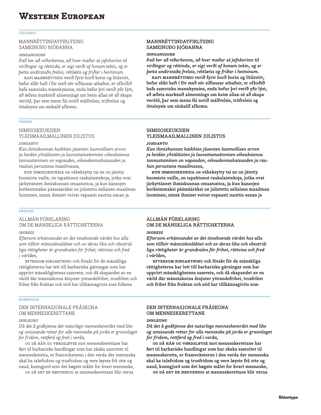### ICELANDIC

# MANNRÉTTINDAYFIRLÝSING SAMEINUÐO ÞJÓÐANNA

## *inngangsorð*

*Það ber að viðurkenna, að hver maður sé jafnborinn til virðingar og réttinda, er eigi verði af honum tekin, og er þetta undirstaða frelsis, réttlætis og friðar i heiminum.*

hafi mannréttindi verið fyrir borð borin og lítilsvirt, hefur slíkt haft í för með sér siðlausar athafnir, er ofboðið hafa samvizku mannkynsins, enda hefur því verið yfir lýst, að æðsta markmið almennings um heim allan sé að skapa veröld, þar sem menn fái notið málfrelsis, trúfrelsis og óttaleysis um einkalíf afkomu.

# FINNISH

# IHMISOIKEUKSIEN YLEISMAAILMALLINEN JULISTUS

## *johdanto*

*Kun ihmiskunnan kaikkien jäsenten luonnollisen arvon ja heidän yhtäläisten ja luovuttamattomien oikeuksiensa tunnustaminen on vapauden, oikeudenmukaisuuden ja rauhan perustana maailmassa,*

kun ihmisoikeuksia on väheksytty tai ne on jätetty huomiota vaille, on tapahtunut raakalaistekoja, jotka ovat järkyttäneet ihmiskunnan omaatuntoa, ja kun kansojen korkeimmaksi päämääräksi on julistettu sellaisen maailman luominen, missä ihmiset voivat vapaasti nauttia sanan ja

# **SWEDISH**

ALLMÄN FÖRKLARING OM DE MÄNSKLIGA RÄTTIGHETERNA

## *ingress*

*Eftersom erkännandet av det inneboende värdet hos alla som tillhör människosläktet och av deras lika och obestridliga rättigheter är grundvalen för frihet, rättvisa och fred i världen,*

eftersom ringaktning och förakt för de mänskliga rättigheterna har lett till barbariska gärningar som har upprört mänsklighetens samvete, och då skapandet av en värld där människorna åtnjuter yttrandefrihet, trosfrihet och frihet från fruktan och nöd har tillkännagivits som folkens

## NORWEGIAN

# DEN INTERNASJONALE FRÅSEGNA OM MENNESKERETTANE

## *innleiing*

*Då det å godkjenne det naturlege menneskeverdet med like og umissande rettar for alle menneske på jorda er grunnlaget for fridom, rettferd og fred i verda,*

og då hån og vørdsløyse mot menneskerettane har ført til barbariske handlingar som har skaka samvitet til menneskeretta, er framvoksteren i den verda der menneska skal ha talefridom og trusfridom og vere løyste frå otte og naud, kunngjord som det høgste målet for kvart menneske,

og då det er nødvendig at menneskerettane blir verna

# **MANNRÉTTINDAYFIRLÝSING SAMEINUÐO ÞJÓÐANNA**

# *inngangsorð*

*Það ber að viðurkenna, að hver maður sé jafnborinn til virðingar og réttinda, er eigi verði af honum tekin, og er þetta undirstaða frelsis, réttlætis og friðar i heiminum.*

**hafi mannréttindi verið fyrir borð borin og lítilsvirt, hefur slíkt haft í för með sér siðlausar athafnir, er ofboðið hafa samvizku mannkynsins, enda hefur því verið yfir lýst, að æðsta markmið almennings um heim allan sé að skapa veröld, þar sem menn fái notið málfrelsis, trúfrelsis og óttaleysis um einkalíf afkomu.**

# **IHMISOIKEUKSIEN YLEISMAAILMALLINEN JULISTUS**

# *johdanto*

*Kun ihmiskunnan kaikkien jäsenten luonnollisen arvon ja heidän yhtäläisten ja luovuttamattomien oikeuksiensa tunnustaminen on vapauden, oikeudenmukaisuuden ja rauhan perustana maailmassa,*

**kun ihmisoikeuksia on väheksytty tai ne on jätetty huomiota vaille, on tapahtunut raakalaistekoja, jotka ovat järkyttäneet ihmiskunnan omaatuntoa, ja kun kansojen korkeimmaksi päämääräksi on julistettu sellaisen maailman luominen, missä ihmiset voivat vapaasti nauttia sanan ja** 

# **ALLMÄN FÖRKLARING OM DE MÄNSKLIGA RÄTTIGHETERNA**

# *ingress*

*Eftersom erkännandet av det inneboende värdet hos alla som tillhör människosläktet och av deras lika och obestridliga rättigheter är grundvalen för frihet, rättvisa och fred i världen,*

**eftersom ringaktning och förakt för de mänskliga rättigheterna har lett till barbariska gärningar som har upprört mänsklighetens samvete, och då skapandet av en värld där människorna åtnjuter yttrandefrihet, trosfrihet och frihet från fruktan och nöd har tillkännagivits som** 

# **DEN INTERNASJONALE FRÅSEGNA OM MENNESKERETTANE**

# *innleiing*

*Då det å godkjenne det naturlege menneskeverdet med like og umissande rettar for alle menneske på jorda er grunnlaget for fridom, rettferd og fred i verda,*

**og då hån og vørdsløyse mot menneskerettane har ført til barbariske handlingar som har skaka samvitet til menneskeretta, er framvoksteren i den verda der menneska skal ha talefridom og trusfridom og vere løyste frå otte og naud, kunngjord som det høgste målet for kvart menneske,**

**og då det er nødvendig at menneskerettane blir verna**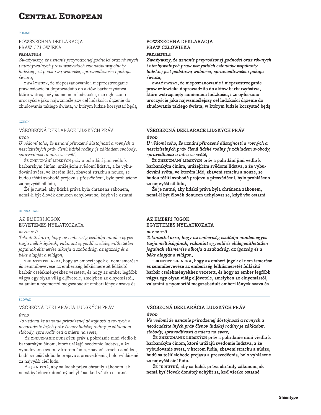# **Central European**

### POLISH

# POWSZECHNA DEKLARACJA PRAW CZŁOWIEKA

### *preambuła*

*Zważywszy, że uznanie przyrodzonej godności oraz równych i niezbywalnych praw wszystkich członków wspólnoty ludzkiej jest podstawą wolności, sprawiedliwości i pokoju świata,*

zważywszy, że nieposzanowanie i nieprzestrzeganie praw człowieka doprowadziło do aktów barbarzyństwa, które wstrząsnęły sumieniem ludzkości, i że ogłoszono uroczyście jako najwznioślejszy cel ludzkości dążenie do zbudowania takiego świata, w którym ludzie korzystać będą

# CZECH

# VŠEOBECNÁ DEKLARACE LIDSKÝCH PRÁV

# *úvod*

*U vědomí toho, že uznání přirozené důstojnosti a rovných a nezcizitelných práv členů lidské rodiny je základem svobody, spravedlnosti a míru ve světě,*

že zneuznání lidských práv a pohrdání jimi vedlo k barbarským činům, urážejícím svědomí lidstva, a že vybudování světa, ve kterém lidé, zbavení strachu a nouze, se budou těšiti svobodě projevu a přesvĕdčení, bylo prohlášeno za nejvyšší cíl lidu,

Že je nutné, aby lidská práva byla chránena zákonem, nemá-li být človĕk donucen uchylovat se, když vše ostatní

# HUNGARIAN

AZ EMBERI JOGOK EGYETEMES NYILATKOZATA

### *bevezető*

*Tekintettel arra, hogy az emberiség családja minden egyes tagja méltóságának, valamint egyenlő és elidegeníthetetlen jogainak elismerése alkotja a szabadság, az igazság és a béke alapját a világon,*

tekintettel arra, hogy az emberi jogok el nem ismerése és semmibevevése az emberiség lelkiismeretét fellázító barbár cselekményekhez vezetett, és hogy az ember legfőbb vágya egy olyan világ eljövetele, amelyben az elnyomástól, valamint a nyomortól megszabadult emberi lények szava és

### SLOVAK

# VŠOBECNÁ DEKLARÁCIA LUDSKÝCH PRÁV *úvod*

*Vo vedomí že uznanie prirodzenej dôstojnosti a rovnych a neodcudzite ľných práv členov ľudskej rodiny je základom slobody, spravodlivosti a mieru na svete,*

že zneuznanie ľudských práv a pohrdanie nimi viedlo k barbarským činom, ktoré urážajú svedomie ľudstva, a že vybudovanie sveta, v ktorom ľudia, zbavení strachu a núdze, budú sa tešiť slobode prejavu a presvedčenia, bolo vyhlásené za najvyšší cieľ ľudu,

že je nutné, aby sa ľudsk práva chránily zákonom, ak nemá byť človek donúteý uchýliť sa, keď všetko ostatné

# **POWSZECHNA DEKLARACJA PRAW CZŁOWIEKA**

# *preambuła*

*Zważywszy, że uznanie przyrodzonej godności oraz równych i niezbywalnych praw wszystkich członków wspólnoty ludzkiej jest podstawą wolności, sprawiedliwości i pokoju świata,*

**zważywszy, że nieposzanowanie i nieprzestrzeganie praw człowieka doprowadziło do aktów barbarzyństwa, które wstrząsnęły sumieniem ludzkości, i że ogłoszono uroczyście jako najwznioślejszy cel ludzkości dążenie do zbudowania takiego świata, w którym ludzie korzystać będą** 

# **VŠEOBECNÁ DEKLARACE LIDSKÝCH PRÁV**

# *úvod*

*U vědomí toho, že uznání přirozené důstojnosti a rovných a nezcizitelných práv členů lidské rodiny je základem svobody, spravedlnosti a míru ve světě,*

**že zneuznání lidských práv a pohrdání jimi vedlo k barbarským činům, urážejícím svědomí lidstva, a že vybudování světa, ve kterém lidé, zbavení strachu a nouze, se budou těšiti svobodě projevu a přesvĕdčení, bylo prohlášeno za nejvyšší cíl lidu,**

**Že je nutné, aby lidská práva byla chránena zákonem, nemá-li být človĕk donucen uchylovat se, když vše ostatní** 

# **AZ EMBERI JOGOK EGYETEMES NYILATKOZATA**

# *bevezető*

*Tekintettel arra, hogy az emberiség családja minden egyes tagja méltóságának, valamint egyenlő és elidegeníthetetlen jogainak elismerése alkotja a szabadság, az igazság és a béke alapját a világon,*

**tekintettel arra, hogy az emberi jogok el nem ismerése és semmibevevése az emberiség lelkiismeretét fellázító barbár cselekményekhez vezetett, és hogy az ember legfőbb vágya egy olyan világ eljövetele, amelyben az elnyomástól, valamint a nyomortól megszabadult emberi lények szava és** 

# **VŠOBECNÁ DEKLARÁCIA LUDSKÝCH PRÁV** *úvod*

*Vo vedomí že uznanie prirodzenej dôstojnosti a rovnych a neodcudzite ľných práv členov ľudskej rodiny je základom slobody, spravodlivosti a mieru na svete,*

**že zneuznanie ľudských práv a pohrdanie nimi viedlo k barbarským činom, ktoré urážajú svedomie ľudstva, a že vybudovanie sveta, v ktorom ľudia, zbavení strachu a núdze, budú sa tešiť slobode prejavu a presvedčenia, bolo vyhlásené za najvyšší cieľ ľudu,**

**že je nutné, aby sa ľudsk práva chránily zákonom, ak nemá byť človek donúteý uchýliť sa, keď všetko ostatné**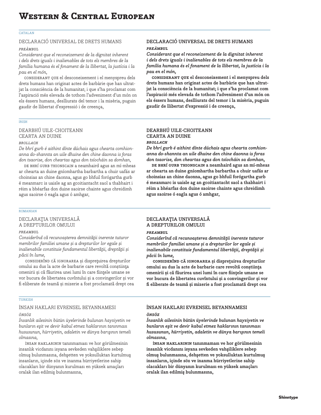## CATALAN

# DECLARACIÓ UNIVERSAL DE DRETS HUMANS

# *preàmbul*

*Considerant que el reconeixement de la dignitat inherent i dels drets iguals i inalienables de tots els membres de la família humana és el fonament de la llibertat, la justícia i la pau en el món,*

considerant que el desconeixement i el menyspreu dels drets humans han originat actes de barbàrie que han ultratjat la consciència de la humanitat; i que s'ha proclamat com l'aspiració més elevada de tothom l'adveniment d'un món on els éssers humans, deslliurats del temor i la misèria, puguin gaudir de llibertat d'expressió i de creença,

# IRISH

# DEARBHÚ UILE-CHOITEANN CEARTA AN DUINE

# *brollach*

*De bhrí gurb é aithint dínte dúchais agus chearta comhionanna do-shannta an uile dhuine den chine daonna is foras don tsaorise, don cheartas agus don tsíocháin sa domhan,*

DE BHRÍ GURB THIONSCAIN a neamhaird agus an mí-mheas ar chearta an duine gníomhartha barbartha a chuir uafás ar choinsias an chine daonna, agus go bhfuil forógartha gurb é meanmarc is uaisle ag an gcoitiantacht saol a thabhairt i réim a bhéarfas don duine saoirse chainte agus chreidimh agus saoirse ó eagla agus ó amhgar,

# ROMANIAN

# DECLARAŢIA UNIVERSALĂ A DREPTURILOR OMULUI

## *preambul*

*Considerînd că recunoașterea demnităţii inerente tuturor membrilor familiei umane și a drepturilor lor egale și inalienabile constituie fundamentul libertăţii, dreptăţii și păcii în lume,*

considerînd că ignorarea și dispreţuirea drepturilor omului au dus la acte de barbarie care revoltă conștiinţa omenirii și că făurirea unei lumi în care fiinţele umane se vor bucura de libertatea cuvîntului și a convingerilor și vor fi eliberate de teamă și mizerie a fost proclamată drept cea

# TURKISH

# İNSAN HAKLARI EVRENSEL BEYANNAMESI *önsöz*

*İnsanlık ailesinin bütün üyelerinde bulunan haysiyetin ve bunların eşit ve devir kabul etmez haklarının tanınması hususunun, hürriyetin, adaletin ve dünya barışının temeli olmasına,*

insan haklarının tanınmaması ve hor görülmesinin insanlık vicdanını isyana sevkeden vahşiliklere sebep olmuş bulunmasına, dehşetten ve yoksulluktan kurtulmuş insanların, içinde söz ve inanma hürriyetlerine sahip olacakları bir dünyanın kurulması en yüksek amaçları oralak ilan edilmiş bulunmasına,

# **DECLARACIÓ UNIVERSAL DE DRETS HUMANS** *preàmbul*

*Considerant que el reconeixement de la dignitat inherent i dels drets iguals i inalienables de tots els membres de la família humana és el fonament de la llibertat, la justícia i la pau en el món,*

**considerant que el desconeixement i el menyspreu dels drets humans han originat actes de barbàrie que han ultratjat la consciència de la humanitat; i que s'ha proclamat com l'aspiració més elevada de tothom l'adveniment d'un món on els éssers humans, deslliurats del temor i la misèria, puguin gaudir de llibertat d'expressió i de creença,**

# **DEARBHÚ UILE-CHOITEANN CEARTA AN DUINE** *brollach*

*De bhrí gurb é aithint dínte dúchais agus chearta comhionanna do-shannta an uile dhuine den chine daonna is foras don tsaorise, don cheartas agus don tsíocháin sa domhan,*

**de bhrí gurb thionscain a neamhaird agus an mí-mheas ar chearta an duine gníomhartha barbartha a chuir uafás ar choinsias an chine daonna, agus go bhfuil forógartha gurb é meanmarc is uaisle ag an gcoitiantacht saol a thabhairt i réim a bhéarfas don duine saoirse chainte agus chreidimh agus saoirse ó eagla agus ó amhgar,**

# **DECLARAŢIA UNIVERSALĂ A DREPTURILOR OMULUI**

## *preambul*

*Considerînd că recunoașterea demnităţii inerente tuturor membrilor familiei umane și a drepturilor lor egale și inalienabile constituie fundamentul libertăţii, dreptăţii și păcii în lume,*

**considerînd că ignorarea și dispreţuirea drepturilor omului au dus la acte de barbarie care revoltă conștiinţa omenirii și că făurirea unei lumi în care fiinţele umane se vor bucura de libertatea cuvîntului și a convingerilor și vor fi eliberate de teamă și mizerie a fost proclamată drept cea** 

# **İNSAN HAKLARI EVRENSEL BEYANNAMESI**

# *önsöz*

*İnsanlık ailesinin bütün üyelerinde bulunan haysiyetin ve bunların eşit ve devir kabul etmez haklarının tanınması hususunun, hürriyetin, adaletin ve dünya barışının temeli olmasına,*

**insan haklarının tanınmaması ve hor görülmesinin insanlık vicdanını isyana sevkeden vahşiliklere sebep olmuş bulunmasına, dehşetten ve yoksulluktan kurtulmuş insanların, içinde söz ve inanma hürriyetlerine sahip olacakları bir dünyanın kurulması en yüksek amaçları oralak ilan edilmiş bulunmasına,**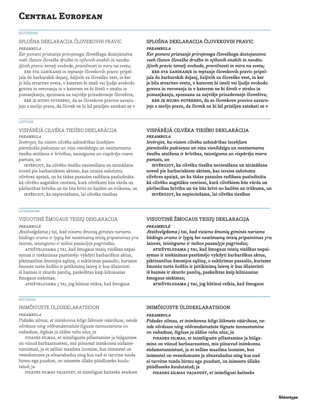# **Central European**

### SLOVENIAN

# SPLOŠNA DEKLARACIJA ČLOVEKOVIH PRAVIC

# *preambula*

*Ker pomeni priznanje prirojenega človeškega dostojanstva vseh članov človeške družbe in njihovih enakih in neodtujljivih pravic temelj svobode, pravičnosti in miru na svetu;*

ker sta zanikanje in teptanje človekovih pravic pripeljala do barbarskih dejanj, žaljivih za človeško vest, in ker je bila stvaritev sveta, v katerem bi imeli vsi ljudje svobodo govora in verovanja in v katerem ne bi živeli v strahu in pomanjkanju, spoznana za najvišje prizadevanje človeštva;

ker je nujno potrebno, da se človekove pravice zavarujejo z močjo prava, da človek ne bi bil prisiljen zatekati se v

# LATVIAN

# VISPĀRĒJĀ CILVĒKA TIESĪBU DEKLARĀCIJA *preambula*

*Ievērojot, ka visiem cilvēku sabiedrības locekļiem piemītošās pašcieņas un viņu vienlīdzīgu un neatņemamu tiesību atzīšana ir brīvības, taisnīguma un vispārēja miera pamats, un*

ievērojot, ka cilvēku tiesību necienīšana un nicināšana noved pie barbariskiem aktiem, kas izraisa sašutumu cilvēces apziņā, un ka tādas pasaules radīšana pasludināta kā cilvēku augstākie centieni, kurā cilvēkiem būs vārda un pārliecības brīvība un tie būs brīvi no bailēm un trūkuma, un

ievērojot, ka nepieciešams, lai cilvēka tiesības

# LITHUANIAN

# VISUOTINĖ ŽMOGAUS TEISIŲ DEKLARACIJA *preambulė*

*Atsižvelgdama į tai, kad visiems žmonių giminės nariams būdingo orumo ir lygių bei neatimamų teisių pripainimas yra laisvės, teisingumo ir taikos pasaulyje pagrindas;*

atsižvelgdama į tai, kad žmogaus teisių visiškas nepaisymas ir niekinimas pastūméjo vykdyti barbariškus aktus, piktinančius žmonijos sąžinę, o sukūrimas pasaulio, kuriame žmonės turės žodžio ir įsitikinimų laisvę ir bus išlaisvinti iš baimės ir skurdo pančių, paskelbtas kaip kilniausias žmogaus siekimas;

atsižvelgdama į tai, jog būtinai reikia, kad žmogaus

## **ESTONIAN**

# INIMÕIGUSTE ÜLDDEKLARATSIOON

# *preambula*

*Pidades silmas, et inimkonna kõigi liikmete väärikuse, nende võrdsuse ning võõrandamatute õiguste tunnustamine on vabaduse, õigluse ja üldise rahu alus; ja*

pidades silmas, et inimõiguste põlastamine ja hülgamine on viinud barbaarsusteni, mis piinavad inimkonna südametunnistust, ja et sellise maailma loomine, kus inimestel on veendumuste ja sõnavabadus ning kus nad ei tarvitse tunda hirmu ega puudust, on inimeste üllaks püüdluseks kuulutatud; ja

pidades silmas vajadust, et inimõigusi kaitseks seaduse

# **SPLOŠNA DEKLARACIJA ČLOVEKOVIH PRAVIC**

# *preambula*

*Ker pomeni priznanje prirojenega človeškega dostojanstva vseh članov človeške družbe in njihovih enakih in neodtujljivih pravic temelj svobode, pravičnosti in miru na svetu;*

**ker sta zanikanje in teptanje človekovih pravic pripeljala do barbarskih dejanj, žaljivih za človeško vest, in ker je bila stvaritev sveta, v katerem bi imeli vsi ljudje svobodo govora in verovanja in v katerem ne bi živeli v strahu in pomanjkanju, spoznana za najvišje prizadevanje človeštva;**

**ker je nujno potrebno, da se človekove pravice zavarujejo z močjo prava, da človek ne bi bil prisiljen zatekati se v** 

# **VISPĀRĒJĀ CILVĒKA TIESĪBU DEKLARĀCIJA** *preambula*

*Ievērojot, ka visiem cilvēku sabiedrības locekļiem piemītošās pašcieņas un viņu vienlīdzīgu un neatņemamu tiesību atzīšana ir brīvības, taisnīguma un vispārēja miera pamats, un*

**ievērojot, ka cilvēku tiesību necienīšana un nicināšana noved pie barbariskiem aktiem, kas izraisa sašutumu cilvēces apziņā, un ka tādas pasaules radīšana pasludināta kā cilvēku augstākie centieni, kurā cilvēkiem būs vārda un pārliecības brīvība un tie būs brīvi no bailēm un trūkuma, un**

**ievērojot, ka nepieciešams, lai cilvēka tiesības** 

# **VISUOTINĖ ŽMOGAUS TEISIŲ DEKLARACIJA** *preambulė*

*Atsižvelgdama į tai, kad visiems žmonių giminės nariams būdingo orumo ir lygių bei neatimamų teisių pripainimas yra laisvės, teisingumo ir taikos pasaulyje pagrindas;*

**atsižvelgdama į tai, kad žmogaus teisių visiškas nepaisymas ir niekinimas pastūméjo vykdyti barbariškus aktus, piktinančius žmonijos sąžinę, o sukūrimas pasaulio, kuriame žmonės turės žodžio ir įsitikinimų laisvę ir bus išlaisvinti iš baimės ir skurdo pančių, paskelbtas kaip kilniausias žmogaus siekimas;**

**atsižvelgdama į tai, jog būtinai reikia, kad žmogaus** 

# **INIMÕIGUSTE ÜLDDEKLARATSIOON**

## *preambula*

*Pidades silmas, et inimkonna kõigi liikmete väärikuse, nende võrdsuse ning võõrandamatute õiguste tunnustamine on vabaduse, õigluse ja üldise rahu alus; ja*

**pidades silmas, et inimõiguste põlastamine ja hülgamine on viinud barbaarsusteni, mis piinavad inimkonna südametunnistust, ja et sellise maailma loomine, kus inimestel on veendumuste ja sõnavabadus ning kus nad ei tarvitse tunda hirmu ega puudust, on inimeste üllaks püüdluseks kuulutatud; ja**

**pidades silmas vajadust, et inimõigusi kaitseks**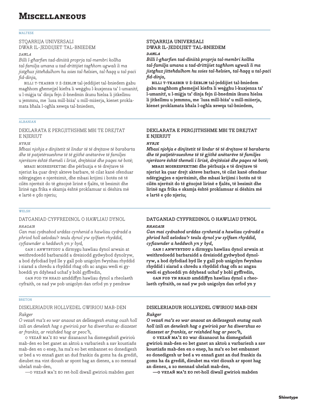### MALTESE

# STQARRIJA UNIVERSALI DWAR IL-JEDDIJIET TAL-BNIEDEM

### *daħla*

*Billi l-għarfien tad-diniità proprja tal-membri kollha tal-familja umana u tad-drittijiet tagħhom ugwali li ma jistgħux jitteħdulhom hu ssies tal-ħelsien, tal-ħaqq u tal-paċi fid-dinja,*

billi t-tkasbir u ż-żebliħ tal-jeddijiet tal-bniedem ġabu magħhom għemejjel kiefra li weġghu l-kuxjenza ta' l-umanitŕ, u l-miġja ta' dinja fejn il-bnedmin ikunu ħielsa li jitkellmu u jemmnu, me ˙lusa mill-biża' u mill-miżerja, kienet proklamata bħala l-ogħla xewqa tal-bniedem,

# ALBANIAN

# DEKLARATA E PERGJITHSHME MBI TE DREJTAT E NJERIUT

### *hyrje*

*Mbasi njohja e dinjitetit të lindur të të drejtave të barabarta dhe të patjetërsueshme të të gjithë anëtarëve të familjes njerëzore është themeli i lirisë, drejtësisë dhe paqes në botë;*

mbasi mosrespektimi dhe përbuzja e të drejtave të njeriut ka çuar drejt akteve barbare, të cilat kanë ofenduar ndërgjegjen e njerëzimit, dhe mbasi krijimi i botës në të cilën njerëzit do të gëzojnë lirinë e �alës, të besimit dhe lirinë nga frika e skamja është proklamuar si dëshira më e lartë e çdo njeriu;

## WELSH

# DATGANIAD CYFFREDINOL O HAWLIAU DYNOL *rhagair*

*Gan mai cydnabod urddas cynhenid a hawliau cydradd a phriod holl aelodau'r teulu dynol yw sylfaen rhyddid, cyfiawnder a heddwch yn y byd,*

gan i anwybyddu a dirmygu hawliau dynol arwain at weithredoedd barbaraidd a dreisiodd gydwybod dynolryw, a bod dyfodiad byd lle y gall pob unigolyn fwynhau rhyddid i siarad a chredu a rhyddid rhag ofn ac angau wedi ei gyhoeddi yn ddyhead uchaf y bobl gyffredin,

gan fod yn rhaid amddiffyn hawliau dynol a rheolaeth cyfraith, os nad yw pob unigolyn dan orfod yn y pendraw

## **BRETON**

# DISKLERIADUR HOLLVEDEL GWIRIOU MAB-DEN *Rakger*

*O vezañ ma'z eo war anaout an dellezegezh enstag ouzh holl izili an denelezh hag o gwirioù par ha diwerzhus eo diazezet ar frankiz, ar reizhded hag ar peoc'h,*

o vezañ ma'z eo war dizanaout ha dismegañsiñ gwirioù mab-den eo bet ganet an aktoù a varbariezh a sav koustiañs mab-den en o enep, ha ma'z eo bet embannet eo donedigezh ur bed a vo ennañ gant an dud frankiz da gomz ha da grediñ, dieubet ma vint diouzh ar spont hag an dienez, a zo mennad uhelañ mab-den,

—o vezañ ma'z eo ret-holl diwall gwirioù mabden gant

# **STQARRIJA UNIVERSALI DWAR IL-JEDDIJIET TAL-BNIEDEM** *daħla*

*Billi l-għarfien tad-diniità proprja tal-membri kollha tal-familja umana u tad-drittijiet tagħhom ugwali li ma jistgħux jitteħdulhom hu ssies tal-ħelsien, tal-ħaqq u tal-paċi fid-dinja,*

**billi t-tkasbir u ż-żebliħ tal-jeddijiet tal-bniedem ġabu magħhom għemejjel kiefra li weġghu l-kuxjenza ta' l-umanitŕ, u l-miġja ta' dinja fejn il-bnedmin ikunu ħielsa li jitkellmu u jemmnu, me ˙lusa mill-biża' u mill-miżerja, kienet proklamata bħala l-ogħla xewqa tal-bniedem,**

# **DEKLARATA E PERGJITHSHME MBI TE DREJTAT E NJERIUT**

# *hyrje*

*Mbasi njohja e dinjitetit të lindur të të drejtave të barabarta dhe të patjetërsueshme të të gjithë anëtarëve të familjes njerëzore është themeli i lirisë, drejtësisë dhe paqes në botë;*

**mbasi mosrespektimi dhe përbuzja e të drejtave të njeriut ka çuar drejt akteve barbare, të cilat kanë ofenduar ndërgjegjen e njerëzimit, dhe mbasi krijimi i botës në të cilën njerëzit do të gëzojnë lirinë e �alës, të besimit dhe lirinë nga frika e skamja është proklamuar si dëshira më e lartë e çdo njeriu;**

# **DATGANIAD CYFFREDINOL O HAWLIAU DYNOL** *rhagair*

*Gan mai cydnabod urddas cynhenid a hawliau cydradd a phriod holl aelodau'r teulu dynol yw sylfaen rhyddid, cyfiawnder a heddwch yn y byd,*

**gan i anwybyddu a dirmygu hawliau dynol arwain at weithredoedd barbaraidd a dreisiodd gydwybod dynolryw, a bod dyfodiad byd lle y gall pob unigolyn fwynhau rhyddid i siarad a chredu a rhyddid rhag ofn ac angau wedi ei gyhoeddi yn ddyhead uchaf y bobl gyffredin,**

**gan fod yn rhaid amddiffyn hawliau dynol a rheolaeth cyfraith, os nad yw pob unigolyn dan orfod yn y** 

# **DISKLERIADUR HOLLVEDEL GWIRIOU MAB-DEN** *Rakger*

*O vezañ ma'z eo war anaout an dellezegezh enstag ouzh holl izili an denelezh hag o gwirioù par ha diwerzhus eo diazezet ar frankiz, ar reizhded hag ar peoc'h,*

**o vezañ ma'z eo war dizanaout ha dismegañsiñ gwirioù mab-den eo bet ganet an aktoù a varbariezh a sav koustiañs mab-den en o enep, ha ma'z eo bet embannet eo donedigezh ur bed a vo ennañ gant an dud frankiz da gomz ha da grediñ, dieubet ma vint diouzh ar spont hag an dienez, a zo mennad uhelañ mab-den,**

**—o vezañ ma'z eo ret-holl diwall gwirioù mabden**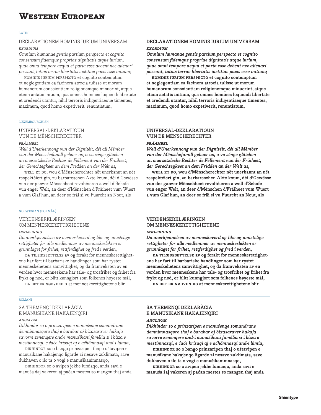### LATIN

# DECLARATIONEM HOMINIS IURIUM UNIVERSAM

# *exordium*

*Omnium humanae gentis partium perspecto et cognito consensum fidemque propriae dignitatis atque iurium, quae omni tempore aequa et paria esse debent nec alienari possunt, totius terrae libertatis iustitiae pacis esse initium;*

hominis iurium perspecto et cognito contemptum et neglegentiam ea facinora atrocia tulisse ut morum humanorum conscientiam religionemque minuerint, atque etiam aetatis initium, qua omnes homines loquendi libertate et credendi utantur, nihil terroris indigentiaeque timentes, maximum, quod homo expetiverit, renuntiatum;

# LUXEMBOURGHISH

# UNIVERSAL-DEKLARATIOUN VUN DE MËNSCHERECHTER

# *präambel*

*Well d'Unerkennong vun der Dignitéit, déi all Mêmber vun der Mënschefamill gebuer as, a vu sénge gläichen an onersetzleche Rechter de Fëllement vun der Fräiheet, der Gerechtegkeet an dem Fridden an der Welt as,*

well et do, wou d'Mënscherechter nët unerkannt an nët respektéiert gin, zu barbareschen Akte koum, déi d'Gewësse vun der ganzer Mënschheet revoltéieren a well d'Schafe vun enger Welt, an deer d'Mënschen d'Fräiheet vum Wuert a vum Glaf hun, an deer se fräi si vu Fuurcht an Nout, als

# NORWEGIAN (BOKMÅL)

# VERDENSERKLÆRINGEN OM MENNESKERETTIGHETENE

## *innledning*

*Da anerkjennelsen av menneskeverd og like og umistelige rettigheter for alle medlemmer av menneskeslekten er grunnlaget for frihet, rettferdighet og fred i verden,*

DA TILSIDESETTELSE av og forakt for menneskerettighetene har ført til barbariske handlinger som har rystet menneskehetens samvittighet, og da framveksten av en verden hvor menneskene har tale- og trosfrihet og frihet fra frykt og nød, er blitt kunngjort som folkenes høyeste mål,

DA DET ER NØDVENDIG at menneskerettighetene blir

## ROMANI

# SA THEMENQI DEKLARÀCIA E MANUSIKANE HAKAJENQIRI

# *anglivak*

*Dikhindor so o prinzaripen e manuśenqe somandrune demnimnasqoro thaj e barabar aj bixasaraver hakaja savorre zenenqere and-i manuśikani famělia si i bàza e mestimnasqi, e ćaće krisaqi aj e aćhõmnasqi and-i lùmia,*

dikhindor so o bango prinzaripen thaj o uśtavipen e manuśikane hakajenqo ligarde zi nesave zuklimata, save dukhaven o ilo ta o vogi e manuśikanimnasqo,

dikhindor so o avipen jekhe lumiaqo, anda savi e manuśa śaj vakeren aj paćan mestes so mangen thaj anda

# **DECLARATIONEM HOMINIS IURIUM UNIVERSAM** *exordium*

*Omnium humanae gentis partium perspecto et cognito consensum fidemque propriae dignitatis atque iurium, quae omni tempore aequa et paria esse debent nec alienari possunt, totius terrae libertatis iustitiae pacis esse initium;*

**hominis iurium perspecto et cognito contemptum et neglegentiam ea facinora atrocia tulisse ut morum humanorum conscientiam religionemque minuerint, atque etiam aetatis initium, qua omnes homines loquendi libertate et credendi utantur, nihil terroris indigentiaeque timentes, maximum, quod homo expetiverit, renuntiatum;**

# **UNIVERSAL-DEKLARATIOUN VUN DE MËNSCHERECHTER**

# *präambel*

*Well d'Unerkennong vun der Dignitéit, déi all Mêmber vun der Mënschefamill gebuer as, a vu sénge gläichen an onersetzleche Rechter de Fëllement vun der Fräiheet, der Gerechtegkeet an dem Fridden an der Welt as,*

**well et do, wou d'Mënscherechter nët unerkannt an nët respektéiert gin, zu barbareschen Akte koum, déi d'Gewësse vun der ganzer Mënschheet revoltéieren a well d'Schafe vun enger Welt, an deer d'Mënschen d'Fräiheet vum Wuert a vum Glaf hun, an deer se fräi si vu Fuurcht an Nout, als** 

# **VERDENSERKLÆRINGEN OM MENNESKERETTIGHETENE**

# *innledning*

*Da anerkjennelsen av menneskeverd og like og umistelige rettigheter for alle medlemmer av menneskeslekten er grunnlaget for frihet, rettferdighet og fred i verden,*

DA TILSIDESETTELSE av og forakt for menneskerettighet**ene har ført til barbariske handlinger som har rystet menneskehetens samvittighet, og da framveksten av en verden hvor menneskene har tale- og trosfrihet og frihet fra frykt og nød, er blitt kunngjort som folkenes høyeste mål,**

**da det er nødvendig at menneskerettighetene blir** 

# **SA THEMENQI DEKLARÀCIA E MANUSIKANE HAKAJENQIRI**

## *anglivak*

*Dikhindor so o prinzaripen e manuśenqe somandrune demnimnasqoro thaj e barabar aj bixasaraver hakaja savorre zenenqere and-i manuśikani famělia si i bàza e mestimnasqi, e ćaće krisaqi aj e aćhõmnasqi and-i lùmia,*

**dikhindor so o bango prinzaripen thaj o uśtavipen e manuśikane hakajenqo ligarde zi nesave zuklimata, save dukhaven o ilo ta o vogi e manuśikanimnasqo,**

**dikhindor so o avipen jekhe lumiaqo, anda savi e manuśa śaj vakeren aj paćan mestes so mangen thaj anda**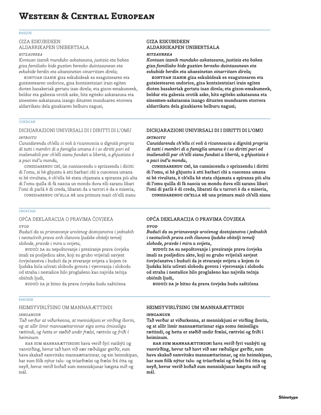### BASQUE

# GIZA ESKUBIDEEN ALDARRIKAPEN UNIBERTSALA

# *hitzaurrea*

*Kontuan izanik munduko askatasuna, justizia eta bakea giza familiako kide guztien berezko duintasunean eta eskubide berdin eta ukaezinetan oinarritzen direla;*

kontuan izanik giza eskubideak ez ezagutzearen eta gutxiestearen ondorioz, giza kontzientziari irain egiten dioten basakeriak gertatu izan direla; eta gizon-emakumeek, beldur eta gabezia orotik aske, hitz egiteko askatasuna eta sinesmen-askatasuna izango dituzten munduaren etorrera aldarrikatu dela gizakiaren helburu nagusi;

## CORSICAN

# DICHJARAZIONI UNIVIRSALI DI I DIRITTI DI L'OMU

# *introitu*

*Cunsidarendu ch'ellu ci voli à ricunnoscia a dignità propria di tutti i membri di a famiglia umana è i so diritti pari ed inalienabili par ch'elli sianu fundati a libertà, a ghjustizia è a paci ind'u mondu,*

cunsidarendu chì, ùn cunniscendu o sprizzendu i diritti di l'omu, si hè ghjuntu à atti barbari chì a cuscenza umana ni hè rivultata, è ch'ella hè stata chjamata a spiranza più alta di l'omu quilla di fà nascia un mondu duva elli saranu libari l'omi di parlà è di creda, libarati da u tarrori è da e miseria,

cunsidarendu ch'ella hè una primura maiò ch'elli sianu

# CROATIAN

# OPĆA DEKLARACIJA O PRAVIMA ĆOVJEKA *uvod*

*Budući da su priznavanje uroćenog dostojanstva i jednakih i neotućivih prava svih ćlanova ljudske obitelji temelj slobode, pravde i mira u svijetu,*

budući da su nepoštovanje i preziranje prava ćovjeka imali za posljedicu akte, koji su grubo vrijećali savjest ćovjećanstva i budući da je stvaranje svijeta u kojem će ljudska bića ućivati slobodu govora i vjerovanja i slobodu od straha i nestašice bilo proglašeno kao najviša tećnja obićnih ljudi,

budući da je bitno da prava ćovjeka budu zaštićena

## FAROESE

# HEIMSYVIRLÝSING UM MANNARÆTTINDI *inngangur*

*Tað verður at viðurkenna, at menniskjuni er virðing íborin, og at allir limir mannaættarinnar eiga somu ómissiligu rættindi, og hetta er støðið undir frælsi, rættvísi og friði í heiminum.*

har sum mannarættindini hava verið fyri vanbýti og vanvirðing, hevur tað havt við sær ræðuligar gerðir, sum hava skakað samvitsku mannaættarinnar, og ein heimskipan, har sum fólk nýtur talu- og trúarfrælsi og frælsi frá ótta og neyð, hevur verið boðað sum menniskjunar hægsta mið og mál.

# **GIZA ESKUBIDEEN ALDARRIKAPEN UNIBERTSALA**

## *hitzaurrea*

*Kontuan izanik munduko askatasuna, justizia eta bakea giza familiako kide guztien berezko duintasunean eta eskubide berdin eta ukaezinetan oinarritzen direla;*

**kontuan izanik giza eskubideak ez ezagutzearen eta gutxiestearen ondorioz, giza kontzientziari irain egiten dioten basakeriak gertatu izan direla; eta gizon-emakumeek, beldur eta gabezia orotik aske, hitz egiteko askatasuna eta sinesmen-askatasuna izango dituzten munduaren etorrera aldarrikatu dela gizakiaren helburu nagusi;**

# **DICHJARAZIONI UNIVIRSALI DI I DIRITTI DI L'OMU** *introitu*

*Cunsidarendu ch'ellu ci voli à ricunnoscia a dignità propria di tutti i membri di a famiglia umana è i so diritti pari ed inalienabili par ch'elli sianu fundati a libertà, a ghjustizia è a paci ind'u mondu,*

**cunsidarendu chì, ùn cunniscendu o sprizzendu i diritti di l'omu, si hè ghjuntu à atti barbari chì a cuscenza umana ni hè rivultata, è ch'ella hè stata chjamata a spiranza più alta di l'omu quilla di fà nascia un mondu duva elli saranu libari l'omi di parlà è di creda, libarati da u tarrori è da e miseria,**

**cunsidarendu ch'ella hè una primura maiò ch'elli sianu** 

# **OPĆA DEKLARACIJA O PRAVIMA ĆOVJEKA** *uvod*

*Budući da su priznavanje uroćenog dostojanstva i jednakih i neotućivih prava svih ćlanova ljudske obitelji temelj slobode, pravde i mira u svijetu,*

**budući da su nepoštovanje i preziranje prava ćovjeka imali za posljedicu akte, koji su grubo vrijećali savjest ćovjećanstva i budući da je stvaranje svijeta u kojem će ljudska bića ućivati slobodu govora i vjerovanja i slobodu od straha i nestašice bilo proglašeno kao najviša tećnja obićnih ljudi,**

**budući da je bitno da prava ćovjeka budu zaštićena** 

# **HEIMSYVIRLÝSING UM MANNARÆTTINDI inngangur**

**Tað verður at viðurkenna, at menniskjuni er virðing íborin, og at allir limir mannaættarinnar eiga somu ómissiligu rættindi, og hetta er støðið undir frælsi, rættvísi og friði í heiminum.**

**har sum mannarættindini hava verið fyri vanbýti og vanvirðing, hevur tað havt við sær ræðuligar gerðir, sum hava skakað samvitsku mannaættarinnar, og ein heimskipan, har sum fólk nýtur talu- og trúarfrælsi og frælsi frá ótta og neyð, hevur verið boðað sum menniskjunar hægsta mið og mál.**